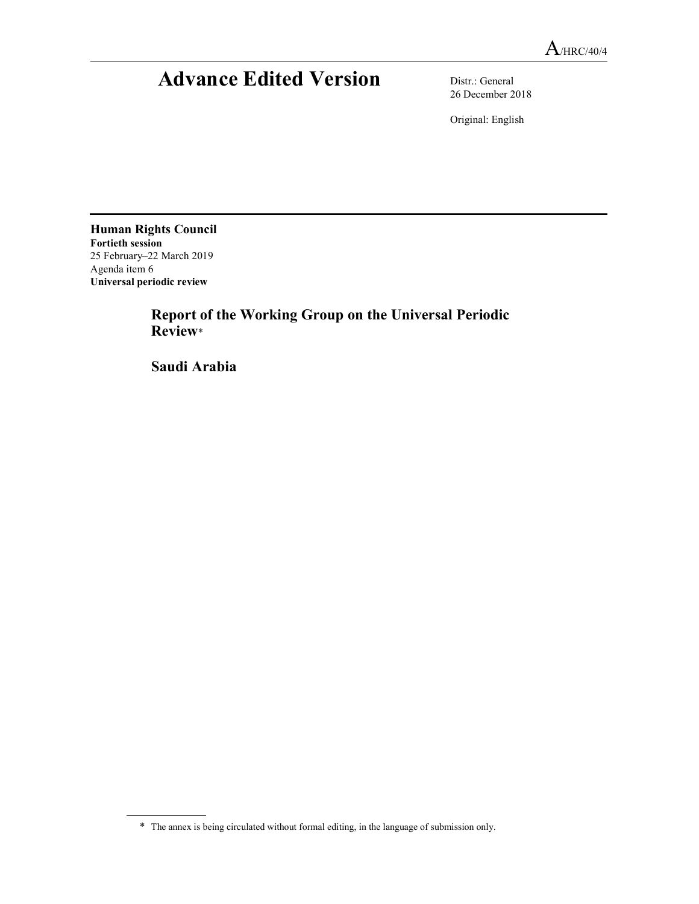# Advance Edited Version Distr.: General

26 December 2018

Original: English

Human Rights Council Fortieth session 25 February–22 March 2019 Agenda item 6 Universal periodic review

 Report of the Working Group on the Universal Periodic Review\*

Saudi Arabia

<sup>\*</sup> The annex is being circulated without formal editing, in the language of submission only.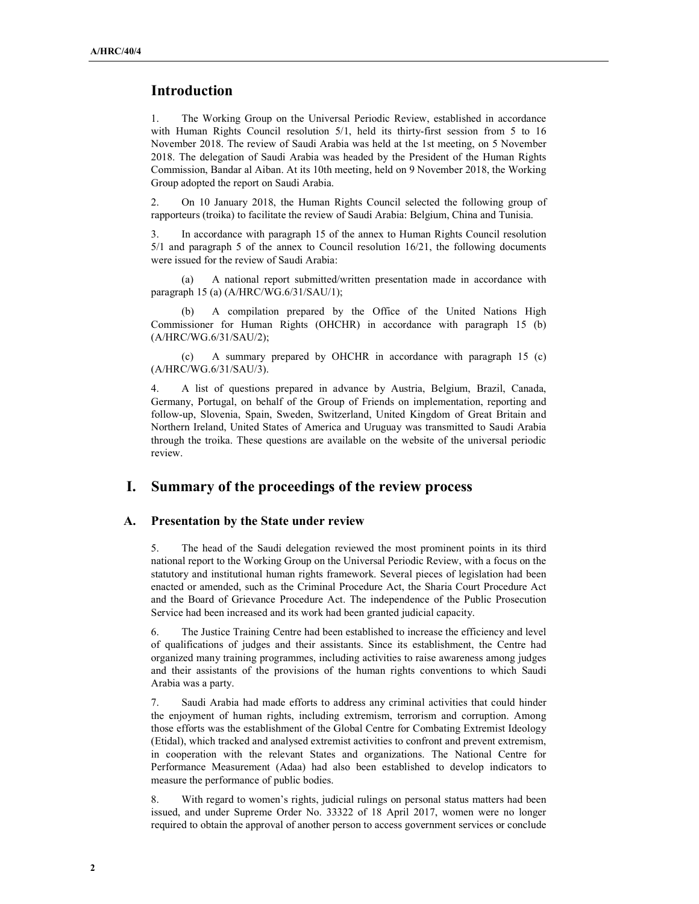# Introduction

1. The Working Group on the Universal Periodic Review, established in accordance with Human Rights Council resolution 5/1, held its thirty-first session from 5 to 16 November 2018. The review of Saudi Arabia was held at the 1st meeting, on 5 November 2018. The delegation of Saudi Arabia was headed by the President of the Human Rights Commission, Bandar al Aiban. At its 10th meeting, held on 9 November 2018, the Working Group adopted the report on Saudi Arabia.

2. On 10 January 2018, the Human Rights Council selected the following group of rapporteurs (troika) to facilitate the review of Saudi Arabia: Belgium, China and Tunisia.

3. In accordance with paragraph 15 of the annex to Human Rights Council resolution 5/1 and paragraph 5 of the annex to Council resolution 16/21, the following documents were issued for the review of Saudi Arabia:

 (a) A national report submitted/written presentation made in accordance with paragraph 15 (a) (A/HRC/WG.6/31/SAU/1);

 (b) A compilation prepared by the Office of the United Nations High Commissioner for Human Rights (OHCHR) in accordance with paragraph 15 (b) (A/HRC/WG.6/31/SAU/2);

 (c) A summary prepared by OHCHR in accordance with paragraph 15 (c) (A/HRC/WG.6/31/SAU/3).

4. A list of questions prepared in advance by Austria, Belgium, Brazil, Canada, Germany, Portugal, on behalf of the Group of Friends on implementation, reporting and follow-up, Slovenia, Spain, Sweden, Switzerland, United Kingdom of Great Britain and Northern Ireland, United States of America and Uruguay was transmitted to Saudi Arabia through the troika. These questions are available on the website of the universal periodic review.

## I. Summary of the proceedings of the review process

#### A. Presentation by the State under review

5. The head of the Saudi delegation reviewed the most prominent points in its third national report to the Working Group on the Universal Periodic Review, with a focus on the statutory and institutional human rights framework. Several pieces of legislation had been enacted or amended, such as the Criminal Procedure Act, the Sharia Court Procedure Act and the Board of Grievance Procedure Act. The independence of the Public Prosecution Service had been increased and its work had been granted judicial capacity.

6. The Justice Training Centre had been established to increase the efficiency and level of qualifications of judges and their assistants. Since its establishment, the Centre had organized many training programmes, including activities to raise awareness among judges and their assistants of the provisions of the human rights conventions to which Saudi Arabia was a party.

7. Saudi Arabia had made efforts to address any criminal activities that could hinder the enjoyment of human rights, including extremism, terrorism and corruption. Among those efforts was the establishment of the Global Centre for Combating Extremist Ideology (Etidal), which tracked and analysed extremist activities to confront and prevent extremism, in cooperation with the relevant States and organizations. The National Centre for Performance Measurement (Adaa) had also been established to develop indicators to measure the performance of public bodies.

8. With regard to women's rights, judicial rulings on personal status matters had been issued, and under Supreme Order No. 33322 of 18 April 2017, women were no longer required to obtain the approval of another person to access government services or conclude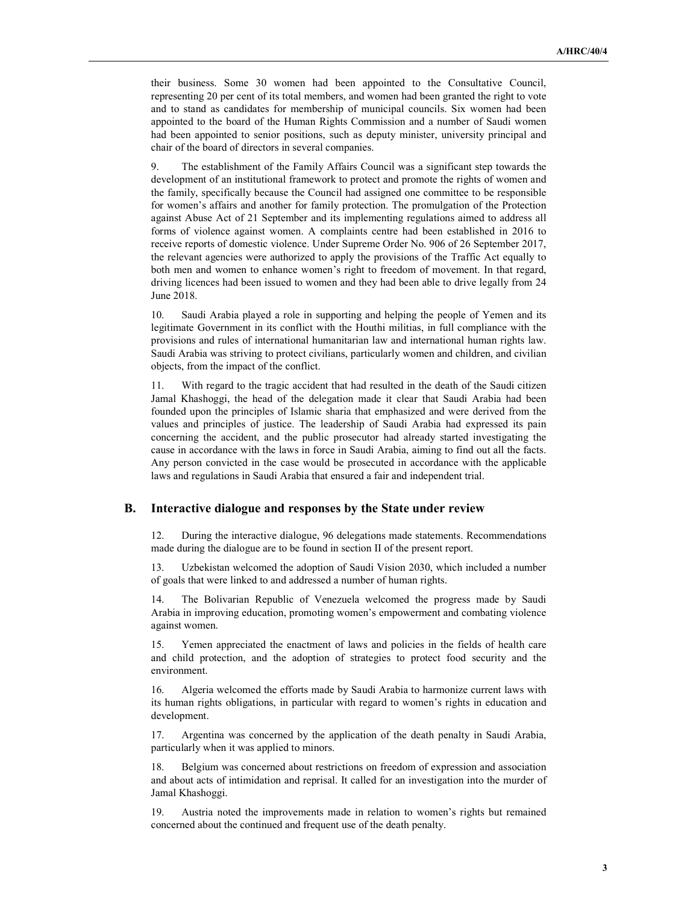their business. Some 30 women had been appointed to the Consultative Council, representing 20 per cent of its total members, and women had been granted the right to vote and to stand as candidates for membership of municipal councils. Six women had been appointed to the board of the Human Rights Commission and a number of Saudi women had been appointed to senior positions, such as deputy minister, university principal and chair of the board of directors in several companies.

9. The establishment of the Family Affairs Council was a significant step towards the development of an institutional framework to protect and promote the rights of women and the family, specifically because the Council had assigned one committee to be responsible for women's affairs and another for family protection. The promulgation of the Protection against Abuse Act of 21 September and its implementing regulations aimed to address all forms of violence against women. A complaints centre had been established in 2016 to receive reports of domestic violence. Under Supreme Order No. 906 of 26 September 2017, the relevant agencies were authorized to apply the provisions of the Traffic Act equally to both men and women to enhance women's right to freedom of movement. In that regard, driving licences had been issued to women and they had been able to drive legally from 24 June 2018.

10. Saudi Arabia played a role in supporting and helping the people of Yemen and its legitimate Government in its conflict with the Houthi militias, in full compliance with the provisions and rules of international humanitarian law and international human rights law. Saudi Arabia was striving to protect civilians, particularly women and children, and civilian objects, from the impact of the conflict.

11. With regard to the tragic accident that had resulted in the death of the Saudi citizen Jamal Khashoggi, the head of the delegation made it clear that Saudi Arabia had been founded upon the principles of Islamic sharia that emphasized and were derived from the values and principles of justice. The leadership of Saudi Arabia had expressed its pain concerning the accident, and the public prosecutor had already started investigating the cause in accordance with the laws in force in Saudi Arabia, aiming to find out all the facts. Any person convicted in the case would be prosecuted in accordance with the applicable laws and regulations in Saudi Arabia that ensured a fair and independent trial.

#### B. Interactive dialogue and responses by the State under review

12. During the interactive dialogue, 96 delegations made statements. Recommendations made during the dialogue are to be found in section II of the present report.

13. Uzbekistan welcomed the adoption of Saudi Vision 2030, which included a number of goals that were linked to and addressed a number of human rights.

14. The Bolivarian Republic of Venezuela welcomed the progress made by Saudi Arabia in improving education, promoting women's empowerment and combating violence against women.

15. Yemen appreciated the enactment of laws and policies in the fields of health care and child protection, and the adoption of strategies to protect food security and the environment.

16. Algeria welcomed the efforts made by Saudi Arabia to harmonize current laws with its human rights obligations, in particular with regard to women's rights in education and development.

17. Argentina was concerned by the application of the death penalty in Saudi Arabia, particularly when it was applied to minors.

18. Belgium was concerned about restrictions on freedom of expression and association and about acts of intimidation and reprisal. It called for an investigation into the murder of Jamal Khashoggi.

19. Austria noted the improvements made in relation to women's rights but remained concerned about the continued and frequent use of the death penalty.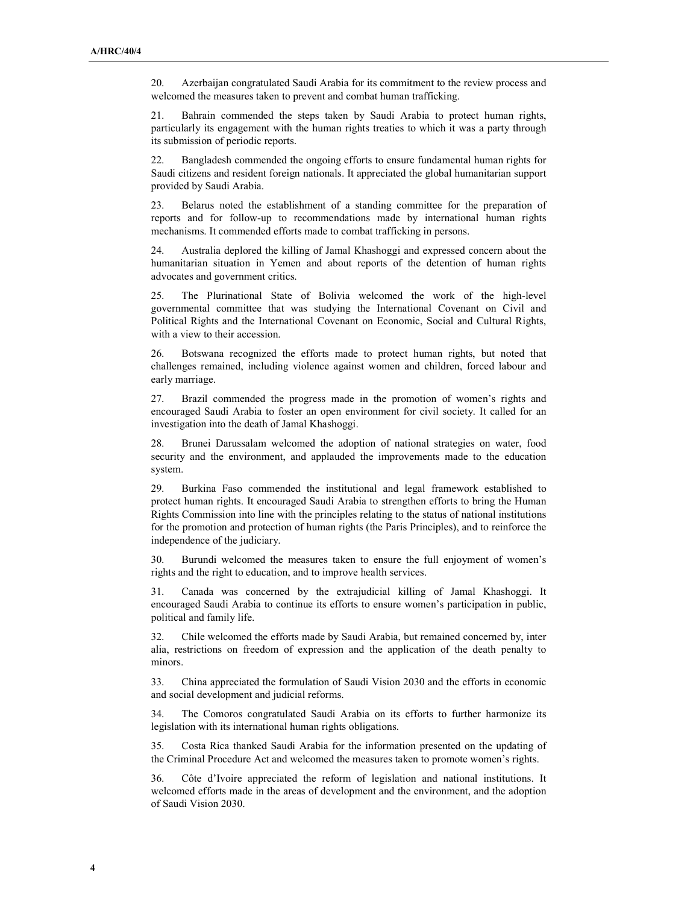20. Azerbaijan congratulated Saudi Arabia for its commitment to the review process and welcomed the measures taken to prevent and combat human trafficking.

21. Bahrain commended the steps taken by Saudi Arabia to protect human rights, particularly its engagement with the human rights treaties to which it was a party through its submission of periodic reports.

22. Bangladesh commended the ongoing efforts to ensure fundamental human rights for Saudi citizens and resident foreign nationals. It appreciated the global humanitarian support provided by Saudi Arabia.

23. Belarus noted the establishment of a standing committee for the preparation of reports and for follow-up to recommendations made by international human rights mechanisms. It commended efforts made to combat trafficking in persons.

24. Australia deplored the killing of Jamal Khashoggi and expressed concern about the humanitarian situation in Yemen and about reports of the detention of human rights advocates and government critics.

25. The Plurinational State of Bolivia welcomed the work of the high-level governmental committee that was studying the International Covenant on Civil and Political Rights and the International Covenant on Economic, Social and Cultural Rights, with a view to their accession.

26. Botswana recognized the efforts made to protect human rights, but noted that challenges remained, including violence against women and children, forced labour and early marriage.

27. Brazil commended the progress made in the promotion of women's rights and encouraged Saudi Arabia to foster an open environment for civil society. It called for an investigation into the death of Jamal Khashoggi.

28. Brunei Darussalam welcomed the adoption of national strategies on water, food security and the environment, and applauded the improvements made to the education system.

29. Burkina Faso commended the institutional and legal framework established to protect human rights. It encouraged Saudi Arabia to strengthen efforts to bring the Human Rights Commission into line with the principles relating to the status of national institutions for the promotion and protection of human rights (the Paris Principles), and to reinforce the independence of the judiciary.

30. Burundi welcomed the measures taken to ensure the full enjoyment of women's rights and the right to education, and to improve health services.

31. Canada was concerned by the extrajudicial killing of Jamal Khashoggi. It encouraged Saudi Arabia to continue its efforts to ensure women's participation in public, political and family life.

32. Chile welcomed the efforts made by Saudi Arabia, but remained concerned by, inter alia, restrictions on freedom of expression and the application of the death penalty to minors.

33. China appreciated the formulation of Saudi Vision 2030 and the efforts in economic and social development and judicial reforms.

34. The Comoros congratulated Saudi Arabia on its efforts to further harmonize its legislation with its international human rights obligations.

35. Costa Rica thanked Saudi Arabia for the information presented on the updating of the Criminal Procedure Act and welcomed the measures taken to promote women's rights.

36. Côte d'Ivoire appreciated the reform of legislation and national institutions. It welcomed efforts made in the areas of development and the environment, and the adoption of Saudi Vision 2030.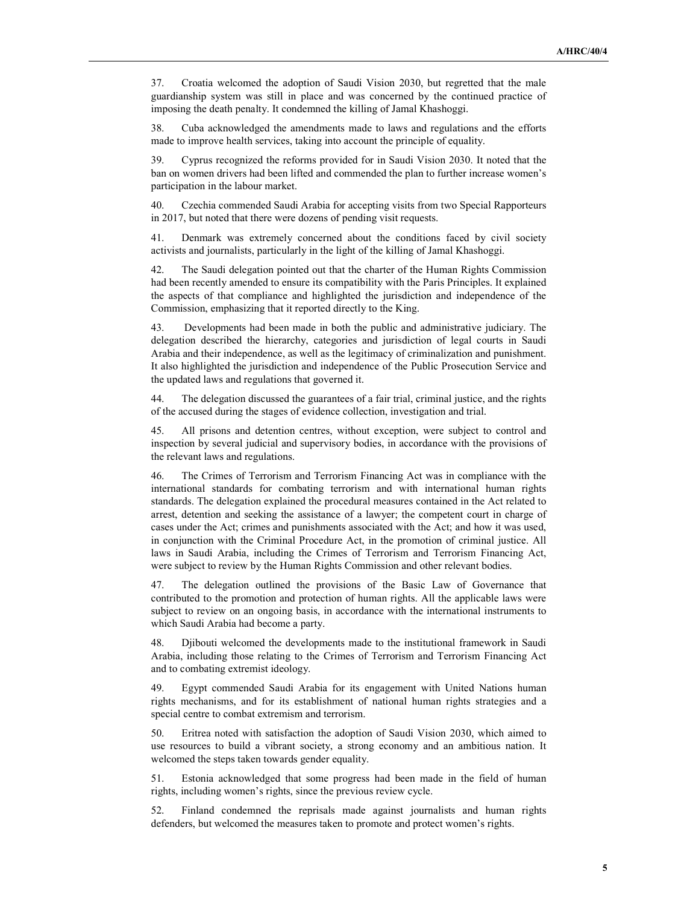37. Croatia welcomed the adoption of Saudi Vision 2030, but regretted that the male guardianship system was still in place and was concerned by the continued practice of imposing the death penalty. It condemned the killing of Jamal Khashoggi.

38. Cuba acknowledged the amendments made to laws and regulations and the efforts made to improve health services, taking into account the principle of equality.

39. Cyprus recognized the reforms provided for in Saudi Vision 2030. It noted that the ban on women drivers had been lifted and commended the plan to further increase women's participation in the labour market.

40. Czechia commended Saudi Arabia for accepting visits from two Special Rapporteurs in 2017, but noted that there were dozens of pending visit requests.

41. Denmark was extremely concerned about the conditions faced by civil society activists and journalists, particularly in the light of the killing of Jamal Khashoggi.

42. The Saudi delegation pointed out that the charter of the Human Rights Commission had been recently amended to ensure its compatibility with the Paris Principles. It explained the aspects of that compliance and highlighted the jurisdiction and independence of the Commission, emphasizing that it reported directly to the King.

43. Developments had been made in both the public and administrative judiciary. The delegation described the hierarchy, categories and jurisdiction of legal courts in Saudi Arabia and their independence, as well as the legitimacy of criminalization and punishment. It also highlighted the jurisdiction and independence of the Public Prosecution Service and the updated laws and regulations that governed it.

44. The delegation discussed the guarantees of a fair trial, criminal justice, and the rights of the accused during the stages of evidence collection, investigation and trial.

45. All prisons and detention centres, without exception, were subject to control and inspection by several judicial and supervisory bodies, in accordance with the provisions of the relevant laws and regulations.

46. The Crimes of Terrorism and Terrorism Financing Act was in compliance with the international standards for combating terrorism and with international human rights standards. The delegation explained the procedural measures contained in the Act related to arrest, detention and seeking the assistance of a lawyer; the competent court in charge of cases under the Act; crimes and punishments associated with the Act; and how it was used, in conjunction with the Criminal Procedure Act, in the promotion of criminal justice. All laws in Saudi Arabia, including the Crimes of Terrorism and Terrorism Financing Act, were subject to review by the Human Rights Commission and other relevant bodies.

47. The delegation outlined the provisions of the Basic Law of Governance that contributed to the promotion and protection of human rights. All the applicable laws were subject to review on an ongoing basis, in accordance with the international instruments to which Saudi Arabia had become a party.

48. Djibouti welcomed the developments made to the institutional framework in Saudi Arabia, including those relating to the Crimes of Terrorism and Terrorism Financing Act and to combating extremist ideology.

49. Egypt commended Saudi Arabia for its engagement with United Nations human rights mechanisms, and for its establishment of national human rights strategies and a special centre to combat extremism and terrorism.

50. Eritrea noted with satisfaction the adoption of Saudi Vision 2030, which aimed to use resources to build a vibrant society, a strong economy and an ambitious nation. It welcomed the steps taken towards gender equality.

51. Estonia acknowledged that some progress had been made in the field of human rights, including women's rights, since the previous review cycle.

52. Finland condemned the reprisals made against journalists and human rights defenders, but welcomed the measures taken to promote and protect women's rights.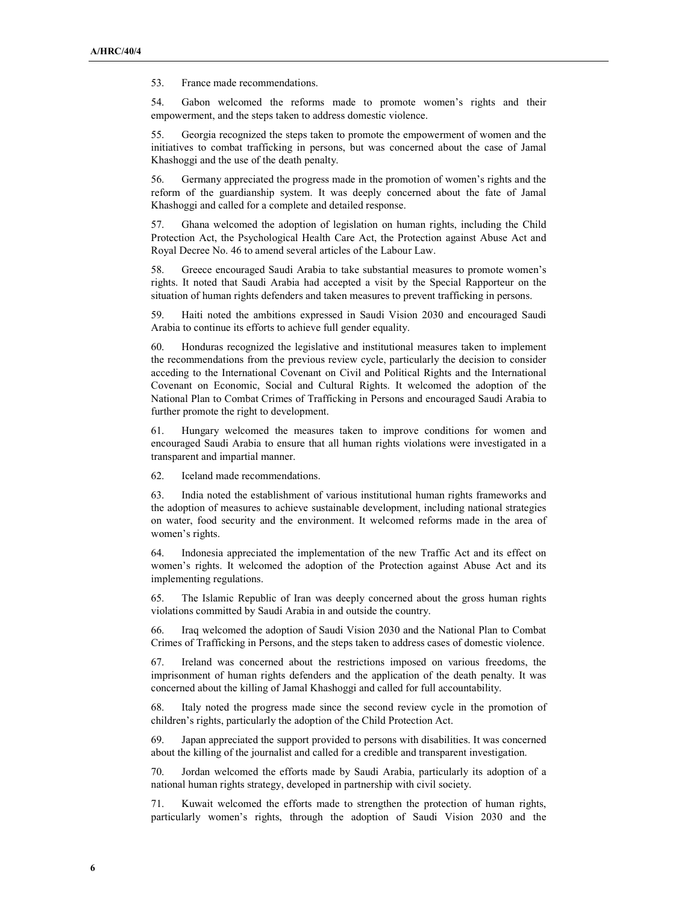53. France made recommendations.

54. Gabon welcomed the reforms made to promote women's rights and their empowerment, and the steps taken to address domestic violence.

55. Georgia recognized the steps taken to promote the empowerment of women and the initiatives to combat trafficking in persons, but was concerned about the case of Jamal Khashoggi and the use of the death penalty.

56. Germany appreciated the progress made in the promotion of women's rights and the reform of the guardianship system. It was deeply concerned about the fate of Jamal Khashoggi and called for a complete and detailed response.

57. Ghana welcomed the adoption of legislation on human rights, including the Child Protection Act, the Psychological Health Care Act, the Protection against Abuse Act and Royal Decree No. 46 to amend several articles of the Labour Law.

58. Greece encouraged Saudi Arabia to take substantial measures to promote women's rights. It noted that Saudi Arabia had accepted a visit by the Special Rapporteur on the situation of human rights defenders and taken measures to prevent trafficking in persons.

59. Haiti noted the ambitions expressed in Saudi Vision 2030 and encouraged Saudi Arabia to continue its efforts to achieve full gender equality.

60. Honduras recognized the legislative and institutional measures taken to implement the recommendations from the previous review cycle, particularly the decision to consider acceding to the International Covenant on Civil and Political Rights and the International Covenant on Economic, Social and Cultural Rights. It welcomed the adoption of the National Plan to Combat Crimes of Trafficking in Persons and encouraged Saudi Arabia to further promote the right to development.

61. Hungary welcomed the measures taken to improve conditions for women and encouraged Saudi Arabia to ensure that all human rights violations were investigated in a transparent and impartial manner.

62. Iceland made recommendations.

63. India noted the establishment of various institutional human rights frameworks and the adoption of measures to achieve sustainable development, including national strategies on water, food security and the environment. It welcomed reforms made in the area of women's rights.

64. Indonesia appreciated the implementation of the new Traffic Act and its effect on women's rights. It welcomed the adoption of the Protection against Abuse Act and its implementing regulations.

65. The Islamic Republic of Iran was deeply concerned about the gross human rights violations committed by Saudi Arabia in and outside the country.

66. Iraq welcomed the adoption of Saudi Vision 2030 and the National Plan to Combat Crimes of Trafficking in Persons, and the steps taken to address cases of domestic violence.

67. Ireland was concerned about the restrictions imposed on various freedoms, the imprisonment of human rights defenders and the application of the death penalty. It was concerned about the killing of Jamal Khashoggi and called for full accountability.

68. Italy noted the progress made since the second review cycle in the promotion of children's rights, particularly the adoption of the Child Protection Act.

69. Japan appreciated the support provided to persons with disabilities. It was concerned about the killing of the journalist and called for a credible and transparent investigation.

70. Jordan welcomed the efforts made by Saudi Arabia, particularly its adoption of a national human rights strategy, developed in partnership with civil society.

71. Kuwait welcomed the efforts made to strengthen the protection of human rights, particularly women's rights, through the adoption of Saudi Vision 2030 and the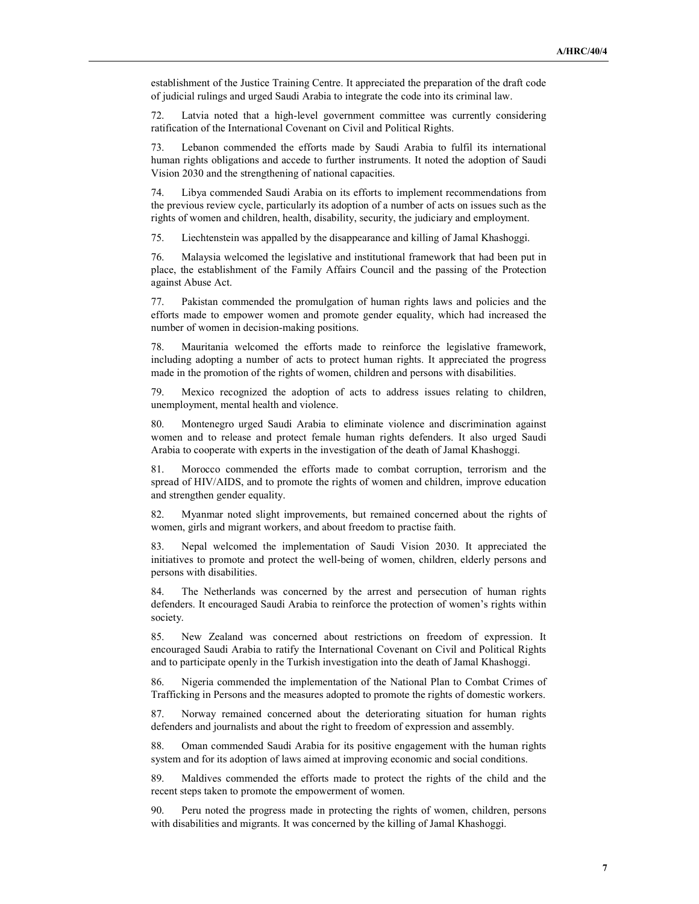establishment of the Justice Training Centre. It appreciated the preparation of the draft code of judicial rulings and urged Saudi Arabia to integrate the code into its criminal law.

72. Latvia noted that a high-level government committee was currently considering ratification of the International Covenant on Civil and Political Rights.

73. Lebanon commended the efforts made by Saudi Arabia to fulfil its international human rights obligations and accede to further instruments. It noted the adoption of Saudi Vision 2030 and the strengthening of national capacities.

74. Libya commended Saudi Arabia on its efforts to implement recommendations from the previous review cycle, particularly its adoption of a number of acts on issues such as the rights of women and children, health, disability, security, the judiciary and employment.

75. Liechtenstein was appalled by the disappearance and killing of Jamal Khashoggi.

76. Malaysia welcomed the legislative and institutional framework that had been put in place, the establishment of the Family Affairs Council and the passing of the Protection against Abuse Act.

77. Pakistan commended the promulgation of human rights laws and policies and the efforts made to empower women and promote gender equality, which had increased the number of women in decision-making positions.

78. Mauritania welcomed the efforts made to reinforce the legislative framework, including adopting a number of acts to protect human rights. It appreciated the progress made in the promotion of the rights of women, children and persons with disabilities.

79. Mexico recognized the adoption of acts to address issues relating to children, unemployment, mental health and violence.

Montenegro urged Saudi Arabia to eliminate violence and discrimination against women and to release and protect female human rights defenders. It also urged Saudi Arabia to cooperate with experts in the investigation of the death of Jamal Khashoggi.

81. Morocco commended the efforts made to combat corruption, terrorism and the spread of HIV/AIDS, and to promote the rights of women and children, improve education and strengthen gender equality.

82. Myanmar noted slight improvements, but remained concerned about the rights of women, girls and migrant workers, and about freedom to practise faith.

83. Nepal welcomed the implementation of Saudi Vision 2030. It appreciated the initiatives to promote and protect the well-being of women, children, elderly persons and persons with disabilities.

84. The Netherlands was concerned by the arrest and persecution of human rights defenders. It encouraged Saudi Arabia to reinforce the protection of women's rights within society.

85. New Zealand was concerned about restrictions on freedom of expression. It encouraged Saudi Arabia to ratify the International Covenant on Civil and Political Rights and to participate openly in the Turkish investigation into the death of Jamal Khashoggi.

86. Nigeria commended the implementation of the National Plan to Combat Crimes of Trafficking in Persons and the measures adopted to promote the rights of domestic workers.

87. Norway remained concerned about the deteriorating situation for human rights defenders and journalists and about the right to freedom of expression and assembly.

88. Oman commended Saudi Arabia for its positive engagement with the human rights system and for its adoption of laws aimed at improving economic and social conditions.

89. Maldives commended the efforts made to protect the rights of the child and the recent steps taken to promote the empowerment of women.

Peru noted the progress made in protecting the rights of women, children, persons with disabilities and migrants. It was concerned by the killing of Jamal Khashoggi.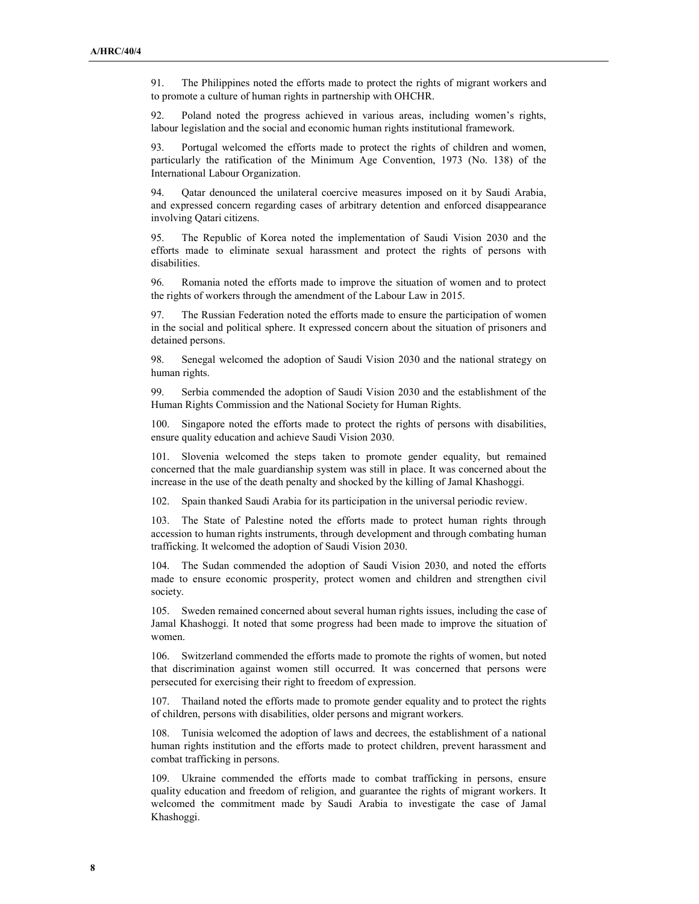91. The Philippines noted the efforts made to protect the rights of migrant workers and to promote a culture of human rights in partnership with OHCHR.

92. Poland noted the progress achieved in various areas, including women's rights, labour legislation and the social and economic human rights institutional framework.

93. Portugal welcomed the efforts made to protect the rights of children and women, particularly the ratification of the Minimum Age Convention, 1973 (No. 138) of the International Labour Organization.

94. Qatar denounced the unilateral coercive measures imposed on it by Saudi Arabia, and expressed concern regarding cases of arbitrary detention and enforced disappearance involving Qatari citizens.

95. The Republic of Korea noted the implementation of Saudi Vision 2030 and the efforts made to eliminate sexual harassment and protect the rights of persons with disabilities.

96. Romania noted the efforts made to improve the situation of women and to protect the rights of workers through the amendment of the Labour Law in 2015.

97. The Russian Federation noted the efforts made to ensure the participation of women in the social and political sphere. It expressed concern about the situation of prisoners and detained persons.

98. Senegal welcomed the adoption of Saudi Vision 2030 and the national strategy on human rights.

99. Serbia commended the adoption of Saudi Vision 2030 and the establishment of the Human Rights Commission and the National Society for Human Rights.

100. Singapore noted the efforts made to protect the rights of persons with disabilities, ensure quality education and achieve Saudi Vision 2030.

101. Slovenia welcomed the steps taken to promote gender equality, but remained concerned that the male guardianship system was still in place. It was concerned about the increase in the use of the death penalty and shocked by the killing of Jamal Khashoggi.

102. Spain thanked Saudi Arabia for its participation in the universal periodic review.

103. The State of Palestine noted the efforts made to protect human rights through accession to human rights instruments, through development and through combating human trafficking. It welcomed the adoption of Saudi Vision 2030.

104. The Sudan commended the adoption of Saudi Vision 2030, and noted the efforts made to ensure economic prosperity, protect women and children and strengthen civil society.

105. Sweden remained concerned about several human rights issues, including the case of Jamal Khashoggi. It noted that some progress had been made to improve the situation of women.

106. Switzerland commended the efforts made to promote the rights of women, but noted that discrimination against women still occurred. It was concerned that persons were persecuted for exercising their right to freedom of expression.

107. Thailand noted the efforts made to promote gender equality and to protect the rights of children, persons with disabilities, older persons and migrant workers.

108. Tunisia welcomed the adoption of laws and decrees, the establishment of a national human rights institution and the efforts made to protect children, prevent harassment and combat trafficking in persons.

109. Ukraine commended the efforts made to combat trafficking in persons, ensure quality education and freedom of religion, and guarantee the rights of migrant workers. It welcomed the commitment made by Saudi Arabia to investigate the case of Jamal Khashoggi.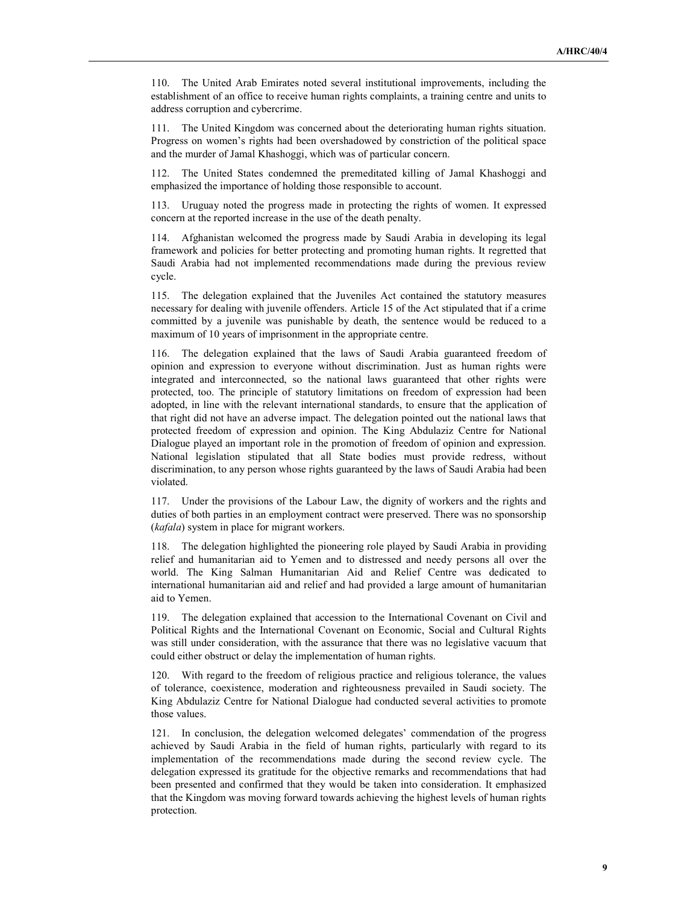110. The United Arab Emirates noted several institutional improvements, including the establishment of an office to receive human rights complaints, a training centre and units to address corruption and cybercrime.

111. The United Kingdom was concerned about the deteriorating human rights situation. Progress on women's rights had been overshadowed by constriction of the political space and the murder of Jamal Khashoggi, which was of particular concern.

112. The United States condemned the premeditated killing of Jamal Khashoggi and emphasized the importance of holding those responsible to account.

113. Uruguay noted the progress made in protecting the rights of women. It expressed concern at the reported increase in the use of the death penalty.

114. Afghanistan welcomed the progress made by Saudi Arabia in developing its legal framework and policies for better protecting and promoting human rights. It regretted that Saudi Arabia had not implemented recommendations made during the previous review cycle.

115. The delegation explained that the Juveniles Act contained the statutory measures necessary for dealing with juvenile offenders. Article 15 of the Act stipulated that if a crime committed by a juvenile was punishable by death, the sentence would be reduced to a maximum of 10 years of imprisonment in the appropriate centre.

116. The delegation explained that the laws of Saudi Arabia guaranteed freedom of opinion and expression to everyone without discrimination. Just as human rights were integrated and interconnected, so the national laws guaranteed that other rights were protected, too. The principle of statutory limitations on freedom of expression had been adopted, in line with the relevant international standards, to ensure that the application of that right did not have an adverse impact. The delegation pointed out the national laws that protected freedom of expression and opinion. The King Abdulaziz Centre for National Dialogue played an important role in the promotion of freedom of opinion and expression. National legislation stipulated that all State bodies must provide redress, without discrimination, to any person whose rights guaranteed by the laws of Saudi Arabia had been violated.

117. Under the provisions of the Labour Law, the dignity of workers and the rights and duties of both parties in an employment contract were preserved. There was no sponsorship (kafala) system in place for migrant workers.

118. The delegation highlighted the pioneering role played by Saudi Arabia in providing relief and humanitarian aid to Yemen and to distressed and needy persons all over the world. The King Salman Humanitarian Aid and Relief Centre was dedicated to international humanitarian aid and relief and had provided a large amount of humanitarian aid to Yemen.

119. The delegation explained that accession to the International Covenant on Civil and Political Rights and the International Covenant on Economic, Social and Cultural Rights was still under consideration, with the assurance that there was no legislative vacuum that could either obstruct or delay the implementation of human rights.

120. With regard to the freedom of religious practice and religious tolerance, the values of tolerance, coexistence, moderation and righteousness prevailed in Saudi society. The King Abdulaziz Centre for National Dialogue had conducted several activities to promote those values.

121. In conclusion, the delegation welcomed delegates' commendation of the progress achieved by Saudi Arabia in the field of human rights, particularly with regard to its implementation of the recommendations made during the second review cycle. The delegation expressed its gratitude for the objective remarks and recommendations that had been presented and confirmed that they would be taken into consideration. It emphasized that the Kingdom was moving forward towards achieving the highest levels of human rights protection.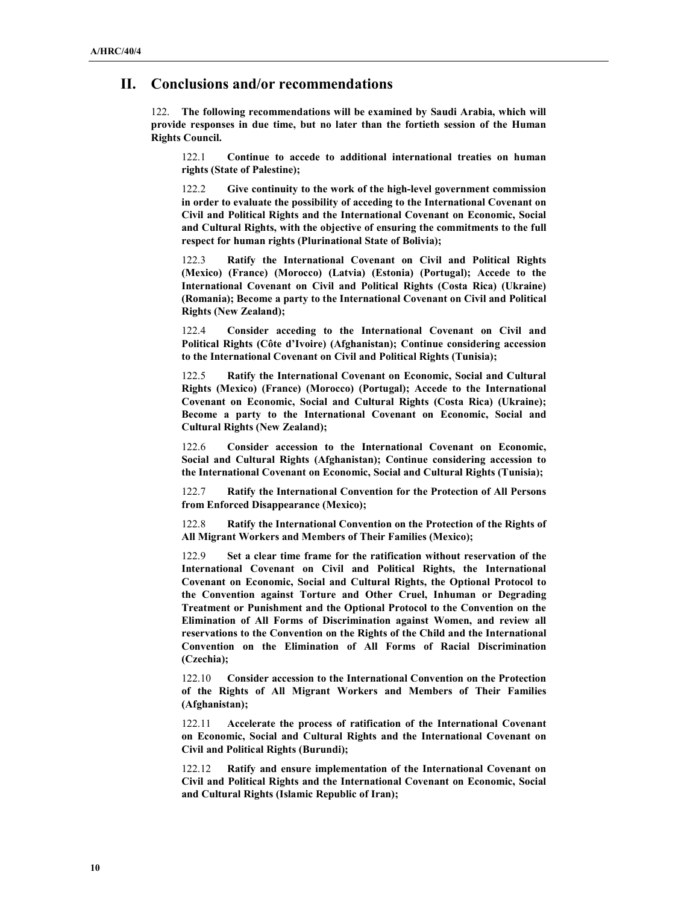## II. Conclusions and/or recommendations

122. The following recommendations will be examined by Saudi Arabia, which will provide responses in due time, but no later than the fortieth session of the Human Rights Council.

122.1 Continue to accede to additional international treaties on human rights (State of Palestine);

122.2 Give continuity to the work of the high-level government commission in order to evaluate the possibility of acceding to the International Covenant on Civil and Political Rights and the International Covenant on Economic, Social and Cultural Rights, with the objective of ensuring the commitments to the full respect for human rights (Plurinational State of Bolivia);

122.3 Ratify the International Covenant on Civil and Political Rights (Mexico) (France) (Morocco) (Latvia) (Estonia) (Portugal); Accede to the International Covenant on Civil and Political Rights (Costa Rica) (Ukraine) (Romania); Become a party to the International Covenant on Civil and Political Rights (New Zealand);

122.4 Consider acceding to the International Covenant on Civil and Political Rights (Côte d'Ivoire) (Afghanistan); Continue considering accession to the International Covenant on Civil and Political Rights (Tunisia);

122.5 Ratify the International Covenant on Economic, Social and Cultural Rights (Mexico) (France) (Morocco) (Portugal); Accede to the International Covenant on Economic, Social and Cultural Rights (Costa Rica) (Ukraine); Become a party to the International Covenant on Economic, Social and Cultural Rights (New Zealand);

122.6 Consider accession to the International Covenant on Economic, Social and Cultural Rights (Afghanistan); Continue considering accession to the International Covenant on Economic, Social and Cultural Rights (Tunisia);

122.7 Ratify the International Convention for the Protection of All Persons from Enforced Disappearance (Mexico);

122.8 Ratify the International Convention on the Protection of the Rights of All Migrant Workers and Members of Their Families (Mexico);

122.9 Set a clear time frame for the ratification without reservation of the International Covenant on Civil and Political Rights, the International Covenant on Economic, Social and Cultural Rights, the Optional Protocol to the Convention against Torture and Other Cruel, Inhuman or Degrading Treatment or Punishment and the Optional Protocol to the Convention on the Elimination of All Forms of Discrimination against Women, and review all reservations to the Convention on the Rights of the Child and the International Convention on the Elimination of All Forms of Racial Discrimination (Czechia);

122.10 Consider accession to the International Convention on the Protection of the Rights of All Migrant Workers and Members of Their Families (Afghanistan);

122.11 Accelerate the process of ratification of the International Covenant on Economic, Social and Cultural Rights and the International Covenant on Civil and Political Rights (Burundi);

122.12 Ratify and ensure implementation of the International Covenant on Civil and Political Rights and the International Covenant on Economic, Social and Cultural Rights (Islamic Republic of Iran);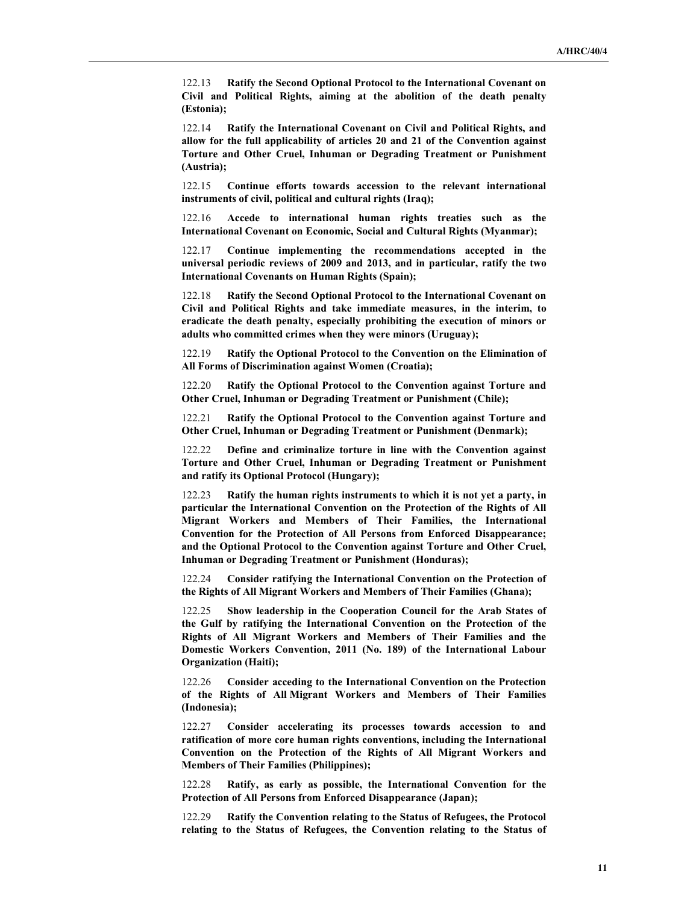122.13 Ratify the Second Optional Protocol to the International Covenant on Civil and Political Rights, aiming at the abolition of the death penalty (Estonia);

122.14 Ratify the International Covenant on Civil and Political Rights, and allow for the full applicability of articles 20 and 21 of the Convention against Torture and Other Cruel, Inhuman or Degrading Treatment or Punishment (Austria);

122.15 Continue efforts towards accession to the relevant international instruments of civil, political and cultural rights (Iraq);

122.16 Accede to international human rights treaties such as the International Covenant on Economic, Social and Cultural Rights (Myanmar);

122.17 Continue implementing the recommendations accepted in the universal periodic reviews of 2009 and 2013, and in particular, ratify the two International Covenants on Human Rights (Spain);

122.18 Ratify the Second Optional Protocol to the International Covenant on Civil and Political Rights and take immediate measures, in the interim, to eradicate the death penalty, especially prohibiting the execution of minors or adults who committed crimes when they were minors (Uruguay);

122.19 Ratify the Optional Protocol to the Convention on the Elimination of All Forms of Discrimination against Women (Croatia);

122.20 Ratify the Optional Protocol to the Convention against Torture and Other Cruel, Inhuman or Degrading Treatment or Punishment (Chile);

122.21 Ratify the Optional Protocol to the Convention against Torture and Other Cruel, Inhuman or Degrading Treatment or Punishment (Denmark);

122.22 Define and criminalize torture in line with the Convention against Torture and Other Cruel, Inhuman or Degrading Treatment or Punishment and ratify its Optional Protocol (Hungary);

122.23 Ratify the human rights instruments to which it is not yet a party, in particular the International Convention on the Protection of the Rights of All Migrant Workers and Members of Their Families, the International Convention for the Protection of All Persons from Enforced Disappearance; and the Optional Protocol to the Convention against Torture and Other Cruel, Inhuman or Degrading Treatment or Punishment (Honduras);

122.24 Consider ratifying the International Convention on the Protection of the Rights of All Migrant Workers and Members of Their Families (Ghana);

122.25 Show leadership in the Cooperation Council for the Arab States of the Gulf by ratifying the International Convention on the Protection of the Rights of All Migrant Workers and Members of Their Families and the Domestic Workers Convention, 2011 (No. 189) of the International Labour Organization (Haiti);

122.26 Consider acceding to the International Convention on the Protection of the Rights of All Migrant Workers and Members of Their Families (Indonesia);

122.27 Consider accelerating its processes towards accession to and ratification of more core human rights conventions, including the International Convention on the Protection of the Rights of All Migrant Workers and Members of Their Families (Philippines);

122.28 Ratify, as early as possible, the International Convention for the Protection of All Persons from Enforced Disappearance (Japan);

122.29 Ratify the Convention relating to the Status of Refugees, the Protocol relating to the Status of Refugees, the Convention relating to the Status of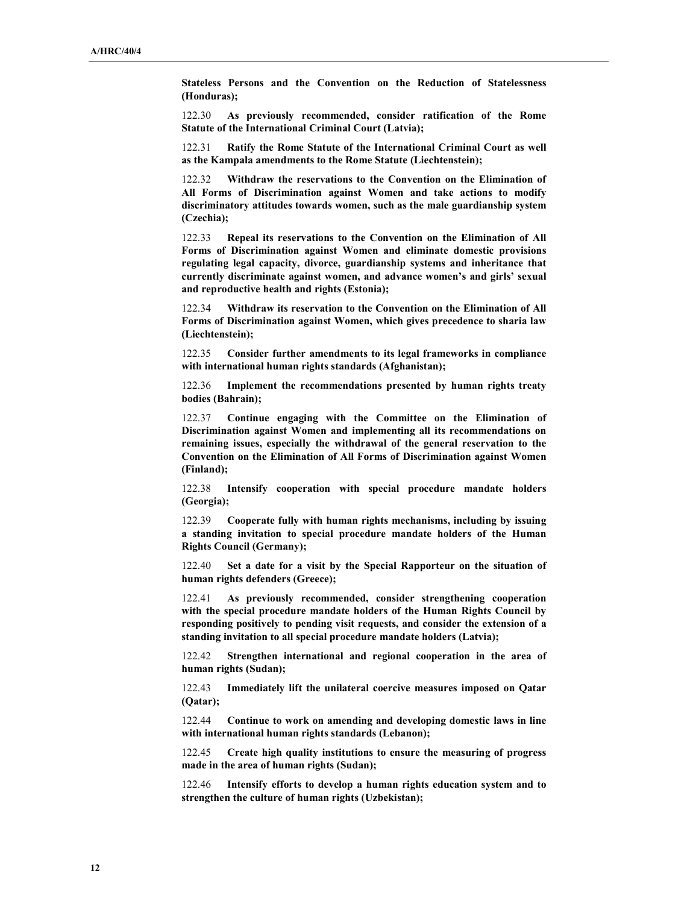Stateless Persons and the Convention on the Reduction of Statelessness (Honduras);

122.30 As previously recommended, consider ratification of the Rome Statute of the International Criminal Court (Latvia);

122.31 Ratify the Rome Statute of the International Criminal Court as well as the Kampala amendments to the Rome Statute (Liechtenstein);

122.32 Withdraw the reservations to the Convention on the Elimination of All Forms of Discrimination against Women and take actions to modify discriminatory attitudes towards women, such as the male guardianship system (Czechia);

122.33 Repeal its reservations to the Convention on the Elimination of All Forms of Discrimination against Women and eliminate domestic provisions regulating legal capacity, divorce, guardianship systems and inheritance that currently discriminate against women, and advance women's and girls' sexual and reproductive health and rights (Estonia);

122.34 Withdraw its reservation to the Convention on the Elimination of All Forms of Discrimination against Women, which gives precedence to sharia law (Liechtenstein);

122.35 Consider further amendments to its legal frameworks in compliance with international human rights standards (Afghanistan);

122.36 Implement the recommendations presented by human rights treaty bodies (Bahrain);

122.37 Continue engaging with the Committee on the Elimination of Discrimination against Women and implementing all its recommendations on remaining issues, especially the withdrawal of the general reservation to the Convention on the Elimination of All Forms of Discrimination against Women (Finland);

122.38 Intensify cooperation with special procedure mandate holders (Georgia);

122.39 Cooperate fully with human rights mechanisms, including by issuing a standing invitation to special procedure mandate holders of the Human Rights Council (Germany);

122.40 Set a date for a visit by the Special Rapporteur on the situation of human rights defenders (Greece);

122.41 As previously recommended, consider strengthening cooperation with the special procedure mandate holders of the Human Rights Council by responding positively to pending visit requests, and consider the extension of a standing invitation to all special procedure mandate holders (Latvia);

122.42 Strengthen international and regional cooperation in the area of human rights (Sudan);

122.43 Immediately lift the unilateral coercive measures imposed on Qatar (Qatar);

122.44 Continue to work on amending and developing domestic laws in line with international human rights standards (Lebanon);

122.45 Create high quality institutions to ensure the measuring of progress made in the area of human rights (Sudan);

122.46 Intensify efforts to develop a human rights education system and to strengthen the culture of human rights (Uzbekistan);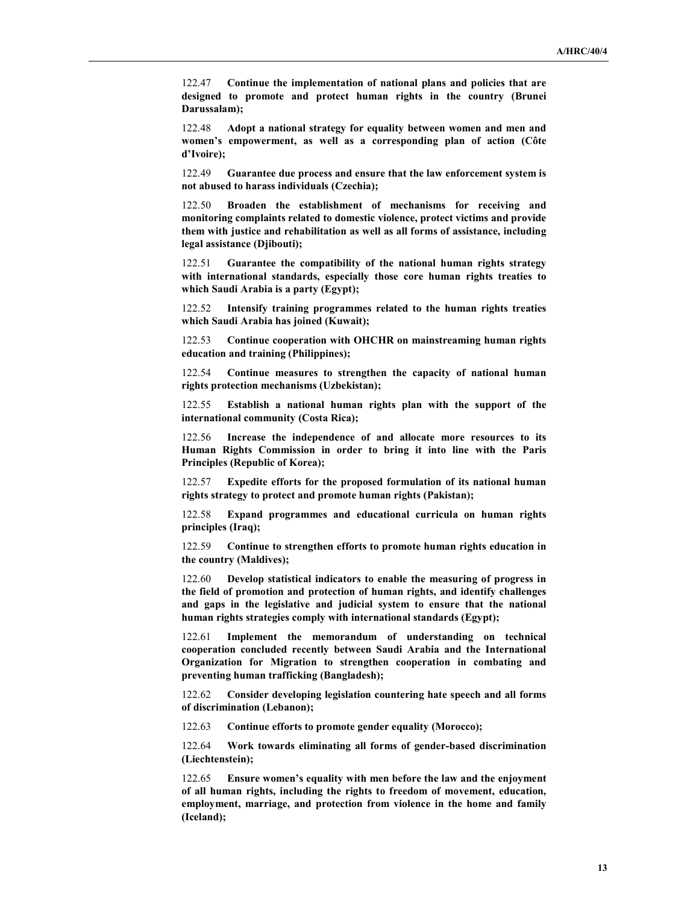122.47 Continue the implementation of national plans and policies that are designed to promote and protect human rights in the country (Brunei Darussalam);

122.48 Adopt a national strategy for equality between women and men and women's empowerment, as well as a corresponding plan of action (Côte d'Ivoire);

122.49 Guarantee due process and ensure that the law enforcement system is not abused to harass individuals (Czechia);

122.50 Broaden the establishment of mechanisms for receiving and monitoring complaints related to domestic violence, protect victims and provide them with justice and rehabilitation as well as all forms of assistance, including legal assistance (Djibouti);

122.51 Guarantee the compatibility of the national human rights strategy with international standards, especially those core human rights treaties to which Saudi Arabia is a party (Egypt);

122.52 Intensify training programmes related to the human rights treaties which Saudi Arabia has joined (Kuwait);

122.53 Continue cooperation with OHCHR on mainstreaming human rights education and training (Philippines);

122.54 Continue measures to strengthen the capacity of national human rights protection mechanisms (Uzbekistan);

122.55 Establish a national human rights plan with the support of the international community (Costa Rica);

122.56 Increase the independence of and allocate more resources to its Human Rights Commission in order to bring it into line with the Paris Principles (Republic of Korea);

122.57 Expedite efforts for the proposed formulation of its national human rights strategy to protect and promote human rights (Pakistan);

122.58 Expand programmes and educational curricula on human rights principles (Iraq);

122.59 Continue to strengthen efforts to promote human rights education in the country (Maldives);

122.60 Develop statistical indicators to enable the measuring of progress in the field of promotion and protection of human rights, and identify challenges and gaps in the legislative and judicial system to ensure that the national human rights strategies comply with international standards (Egypt);

122.61 Implement the memorandum of understanding on technical cooperation concluded recently between Saudi Arabia and the International Organization for Migration to strengthen cooperation in combating and preventing human trafficking (Bangladesh);

122.62 Consider developing legislation countering hate speech and all forms of discrimination (Lebanon);

122.63 Continue efforts to promote gender equality (Morocco);

122.64 Work towards eliminating all forms of gender-based discrimination (Liechtenstein);

122.65 Ensure women's equality with men before the law and the enjoyment of all human rights, including the rights to freedom of movement, education, employment, marriage, and protection from violence in the home and family (Iceland);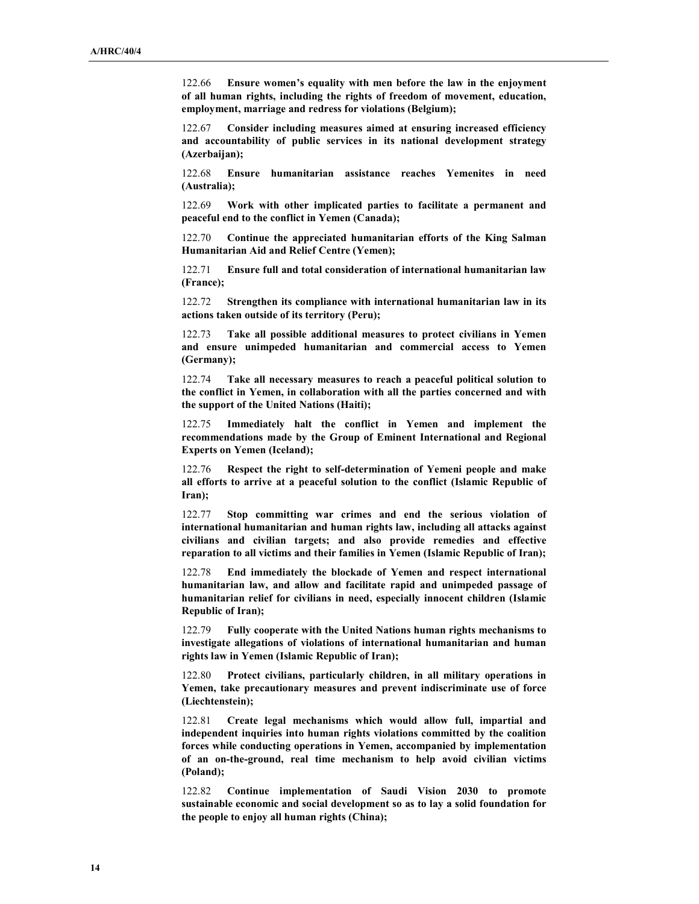122.66 Ensure women's equality with men before the law in the enjoyment of all human rights, including the rights of freedom of movement, education, employment, marriage and redress for violations (Belgium);

122.67 Consider including measures aimed at ensuring increased efficiency and accountability of public services in its national development strategy (Azerbaijan):

122.68 Ensure humanitarian assistance reaches Yemenites in need (Australia);

122.69 Work with other implicated parties to facilitate a permanent and peaceful end to the conflict in Yemen (Canada);

122.70 Continue the appreciated humanitarian efforts of the King Salman Humanitarian Aid and Relief Centre (Yemen);

122.71 Ensure full and total consideration of international humanitarian law (France);

122.72 Strengthen its compliance with international humanitarian law in its actions taken outside of its territory (Peru);

122.73 Take all possible additional measures to protect civilians in Yemen and ensure unimpeded humanitarian and commercial access to Yemen (Germany);

122.74 Take all necessary measures to reach a peaceful political solution to the conflict in Yemen, in collaboration with all the parties concerned and with the support of the United Nations (Haiti);

122.75 Immediately halt the conflict in Yemen and implement the recommendations made by the Group of Eminent International and Regional Experts on Yemen (Iceland);

122.76 Respect the right to self-determination of Yemeni people and make all efforts to arrive at a peaceful solution to the conflict (Islamic Republic of Iran);

122.77 Stop committing war crimes and end the serious violation of international humanitarian and human rights law, including all attacks against civilians and civilian targets; and also provide remedies and effective reparation to all victims and their families in Yemen (Islamic Republic of Iran);

122.78 End immediately the blockade of Yemen and respect international humanitarian law, and allow and facilitate rapid and unimpeded passage of humanitarian relief for civilians in need, especially innocent children (Islamic Republic of Iran);

122.79 Fully cooperate with the United Nations human rights mechanisms to investigate allegations of violations of international humanitarian and human rights law in Yemen (Islamic Republic of Iran);

122.80 Protect civilians, particularly children, in all military operations in Yemen, take precautionary measures and prevent indiscriminate use of force (Liechtenstein);

122.81 Create legal mechanisms which would allow full, impartial and independent inquiries into human rights violations committed by the coalition forces while conducting operations in Yemen, accompanied by implementation of an on-the-ground, real time mechanism to help avoid civilian victims (Poland);

122.82 Continue implementation of Saudi Vision 2030 to promote sustainable economic and social development so as to lay a solid foundation for the people to enjoy all human rights (China);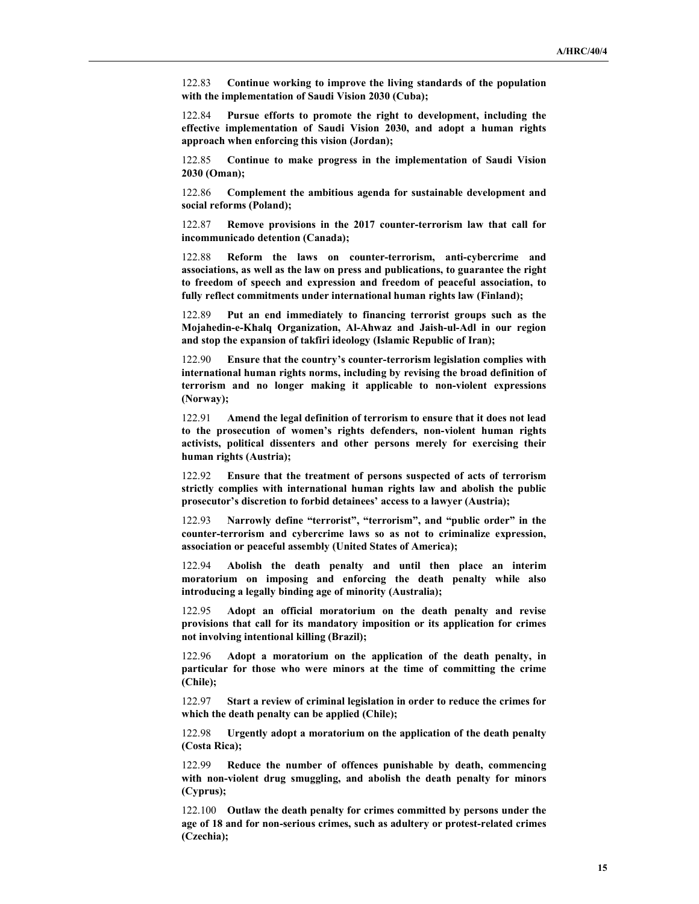122.83 Continue working to improve the living standards of the population with the implementation of Saudi Vision 2030 (Cuba);

122.84 Pursue efforts to promote the right to development, including the effective implementation of Saudi Vision 2030, and adopt a human rights approach when enforcing this vision (Jordan);

122.85 Continue to make progress in the implementation of Saudi Vision 2030 (Oman);

122.86 Complement the ambitious agenda for sustainable development and social reforms (Poland);

122.87 Remove provisions in the 2017 counter-terrorism law that call for incommunicado detention (Canada);

122.88 Reform the laws on counter-terrorism, anti-cybercrime and associations, as well as the law on press and publications, to guarantee the right to freedom of speech and expression and freedom of peaceful association, to fully reflect commitments under international human rights law (Finland);

122.89 Put an end immediately to financing terrorist groups such as the Mojahedin-e-Khalq Organization, Al-Ahwaz and Jaish-ul-Adl in our region and stop the expansion of takfiri ideology (Islamic Republic of Iran);

122.90 Ensure that the country's counter-terrorism legislation complies with international human rights norms, including by revising the broad definition of terrorism and no longer making it applicable to non-violent expressions (Norway);

122.91 Amend the legal definition of terrorism to ensure that it does not lead to the prosecution of women's rights defenders, non-violent human rights activists, political dissenters and other persons merely for exercising their human rights (Austria);

122.92 Ensure that the treatment of persons suspected of acts of terrorism strictly complies with international human rights law and abolish the public prosecutor's discretion to forbid detainees' access to a lawyer (Austria);

122.93 Narrowly define "terrorist", "terrorism", and "public order" in the counter-terrorism and cybercrime laws so as not to criminalize expression, association or peaceful assembly (United States of America);

122.94 Abolish the death penalty and until then place an interim moratorium on imposing and enforcing the death penalty while also introducing a legally binding age of minority (Australia);

122.95 Adopt an official moratorium on the death penalty and revise provisions that call for its mandatory imposition or its application for crimes not involving intentional killing (Brazil);

122.96 Adopt a moratorium on the application of the death penalty, in particular for those who were minors at the time of committing the crime (Chile);

122.97 Start a review of criminal legislation in order to reduce the crimes for which the death penalty can be applied (Chile);

122.98 Urgently adopt a moratorium on the application of the death penalty (Costa Rica);

122.99 Reduce the number of offences punishable by death, commencing with non-violent drug smuggling, and abolish the death penalty for minors (Cyprus);

122.100 Outlaw the death penalty for crimes committed by persons under the age of 18 and for non-serious crimes, such as adultery or protest-related crimes (Czechia);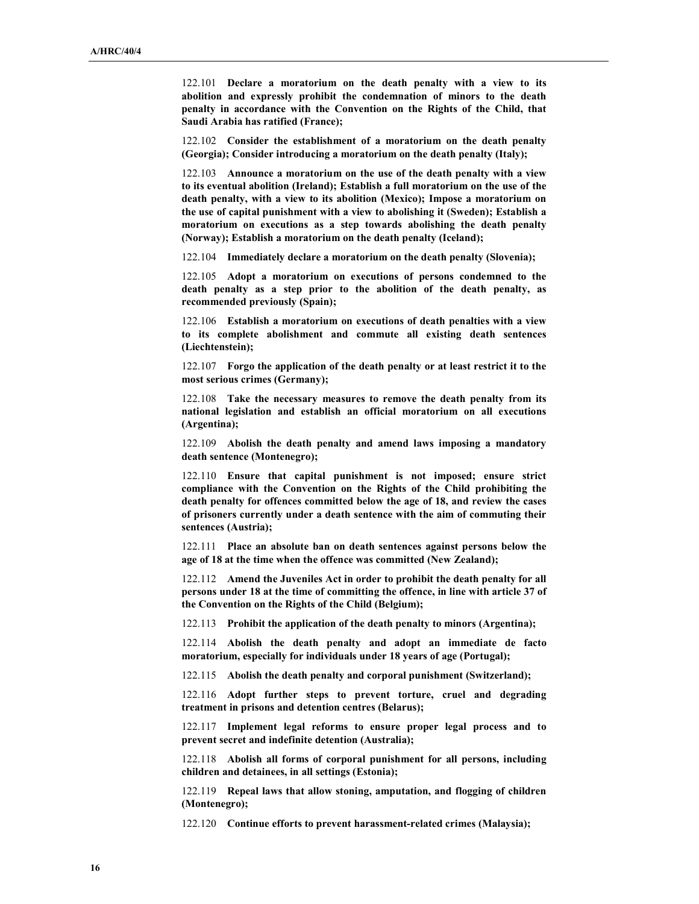122.101 Declare a moratorium on the death penalty with a view to its abolition and expressly prohibit the condemnation of minors to the death penalty in accordance with the Convention on the Rights of the Child, that Saudi Arabia has ratified (France);

122.102 Consider the establishment of a moratorium on the death penalty (Georgia); Consider introducing a moratorium on the death penalty (Italy);

122.103 Announce a moratorium on the use of the death penalty with a view to its eventual abolition (Ireland); Establish a full moratorium on the use of the death penalty, with a view to its abolition (Mexico); Impose a moratorium on the use of capital punishment with a view to abolishing it (Sweden); Establish a moratorium on executions as a step towards abolishing the death penalty (Norway); Establish a moratorium on the death penalty (Iceland);

122.104 Immediately declare a moratorium on the death penalty (Slovenia);

122.105 Adopt a moratorium on executions of persons condemned to the death penalty as a step prior to the abolition of the death penalty, as recommended previously (Spain);

122.106 Establish a moratorium on executions of death penalties with a view to its complete abolishment and commute all existing death sentences (Liechtenstein);

122.107 Forgo the application of the death penalty or at least restrict it to the most serious crimes (Germany);

122.108 Take the necessary measures to remove the death penalty from its national legislation and establish an official moratorium on all executions (Argentina);

122.109 Abolish the death penalty and amend laws imposing a mandatory death sentence (Montenegro);

122.110 Ensure that capital punishment is not imposed; ensure strict compliance with the Convention on the Rights of the Child prohibiting the death penalty for offences committed below the age of 18, and review the cases of prisoners currently under a death sentence with the aim of commuting their sentences (Austria);

122.111 Place an absolute ban on death sentences against persons below the age of 18 at the time when the offence was committed (New Zealand);

122.112 Amend the Juveniles Act in order to prohibit the death penalty for all persons under 18 at the time of committing the offence, in line with article 37 of the Convention on the Rights of the Child (Belgium);

122.113 Prohibit the application of the death penalty to minors (Argentina);

122.114 Abolish the death penalty and adopt an immediate de facto moratorium, especially for individuals under 18 years of age (Portugal);

122.115 Abolish the death penalty and corporal punishment (Switzerland);

122.116 Adopt further steps to prevent torture, cruel and degrading treatment in prisons and detention centres (Belarus);

122.117 Implement legal reforms to ensure proper legal process and to prevent secret and indefinite detention (Australia);

122.118 Abolish all forms of corporal punishment for all persons, including children and detainees, in all settings (Estonia);

122.119 Repeal laws that allow stoning, amputation, and flogging of children (Montenegro);

122.120 Continue efforts to prevent harassment-related crimes (Malaysia);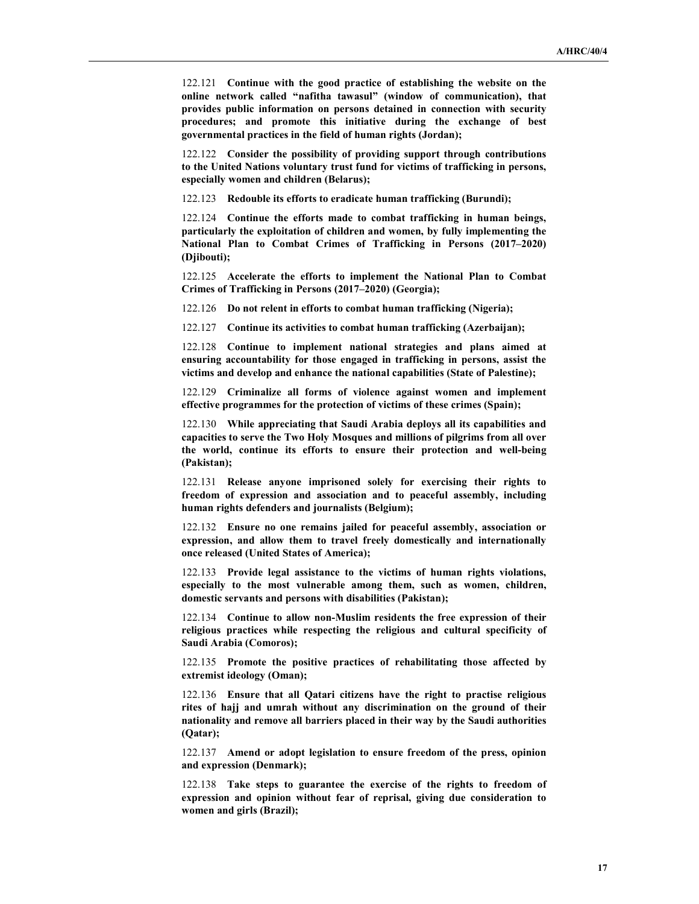122.121 Continue with the good practice of establishing the website on the online network called "nafitha tawasul" (window of communication), that provides public information on persons detained in connection with security procedures; and promote this initiative during the exchange of best governmental practices in the field of human rights (Jordan);

122.122 Consider the possibility of providing support through contributions to the United Nations voluntary trust fund for victims of trafficking in persons, especially women and children (Belarus);

122.123 Redouble its efforts to eradicate human trafficking (Burundi);

122.124 Continue the efforts made to combat trafficking in human beings, particularly the exploitation of children and women, by fully implementing the National Plan to Combat Crimes of Trafficking in Persons (2017–2020) (Djibouti);

122.125 Accelerate the efforts to implement the National Plan to Combat Crimes of Trafficking in Persons (2017–2020) (Georgia);

122.126 Do not relent in efforts to combat human trafficking (Nigeria);

122.127 Continue its activities to combat human trafficking (Azerbaijan);

122.128 Continue to implement national strategies and plans aimed at ensuring accountability for those engaged in trafficking in persons, assist the victims and develop and enhance the national capabilities (State of Palestine);

122.129 Criminalize all forms of violence against women and implement effective programmes for the protection of victims of these crimes (Spain);

122.130 While appreciating that Saudi Arabia deploys all its capabilities and capacities to serve the Two Holy Mosques and millions of pilgrims from all over the world, continue its efforts to ensure their protection and well-being (Pakistan);

122.131 Release anyone imprisoned solely for exercising their rights to freedom of expression and association and to peaceful assembly, including human rights defenders and journalists (Belgium);

122.132 Ensure no one remains jailed for peaceful assembly, association or expression, and allow them to travel freely domestically and internationally once released (United States of America);

122.133 Provide legal assistance to the victims of human rights violations, especially to the most vulnerable among them, such as women, children, domestic servants and persons with disabilities (Pakistan);

122.134 Continue to allow non-Muslim residents the free expression of their religious practices while respecting the religious and cultural specificity of Saudi Arabia (Comoros);

122.135 Promote the positive practices of rehabilitating those affected by extremist ideology (Oman);

122.136 Ensure that all Qatari citizens have the right to practise religious rites of hajj and umrah without any discrimination on the ground of their nationality and remove all barriers placed in their way by the Saudi authorities (Qatar);

122.137 Amend or adopt legislation to ensure freedom of the press, opinion and expression (Denmark);

122.138 Take steps to guarantee the exercise of the rights to freedom of expression and opinion without fear of reprisal, giving due consideration to women and girls (Brazil);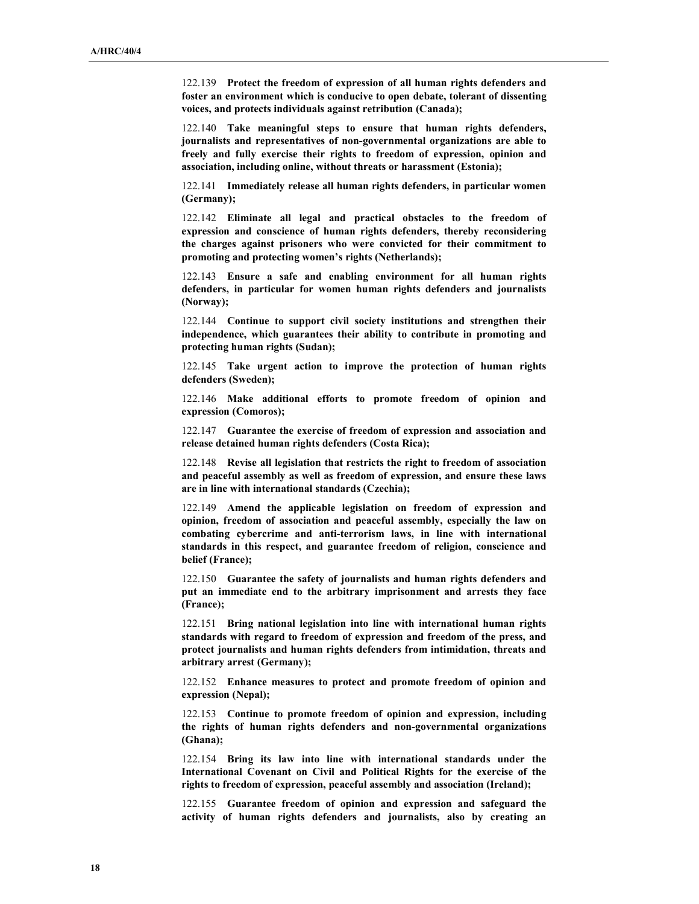122.139 Protect the freedom of expression of all human rights defenders and foster an environment which is conducive to open debate, tolerant of dissenting voices, and protects individuals against retribution (Canada);

122.140 Take meaningful steps to ensure that human rights defenders, journalists and representatives of non-governmental organizations are able to freely and fully exercise their rights to freedom of expression, opinion and association, including online, without threats or harassment (Estonia);

122.141 Immediately release all human rights defenders, in particular women (Germany);

122.142 Eliminate all legal and practical obstacles to the freedom of expression and conscience of human rights defenders, thereby reconsidering the charges against prisoners who were convicted for their commitment to promoting and protecting women's rights (Netherlands);

122.143 Ensure a safe and enabling environment for all human rights defenders, in particular for women human rights defenders and journalists (Norway);

122.144 Continue to support civil society institutions and strengthen their independence, which guarantees their ability to contribute in promoting and protecting human rights (Sudan);

122.145 Take urgent action to improve the protection of human rights defenders (Sweden);

122.146 Make additional efforts to promote freedom of opinion and expression (Comoros);

122.147 Guarantee the exercise of freedom of expression and association and release detained human rights defenders (Costa Rica);

122.148 Revise all legislation that restricts the right to freedom of association and peaceful assembly as well as freedom of expression, and ensure these laws are in line with international standards (Czechia);

122.149 Amend the applicable legislation on freedom of expression and opinion, freedom of association and peaceful assembly, especially the law on combating cybercrime and anti-terrorism laws, in line with international standards in this respect, and guarantee freedom of religion, conscience and belief (France);

122.150 Guarantee the safety of journalists and human rights defenders and put an immediate end to the arbitrary imprisonment and arrests they face (France);

122.151 Bring national legislation into line with international human rights standards with regard to freedom of expression and freedom of the press, and protect journalists and human rights defenders from intimidation, threats and arbitrary arrest (Germany);

122.152 Enhance measures to protect and promote freedom of opinion and expression (Nepal);

122.153 Continue to promote freedom of opinion and expression, including the rights of human rights defenders and non-governmental organizations (Ghana);

122.154 Bring its law into line with international standards under the International Covenant on Civil and Political Rights for the exercise of the rights to freedom of expression, peaceful assembly and association (Ireland);

122.155 Guarantee freedom of opinion and expression and safeguard the activity of human rights defenders and journalists, also by creating an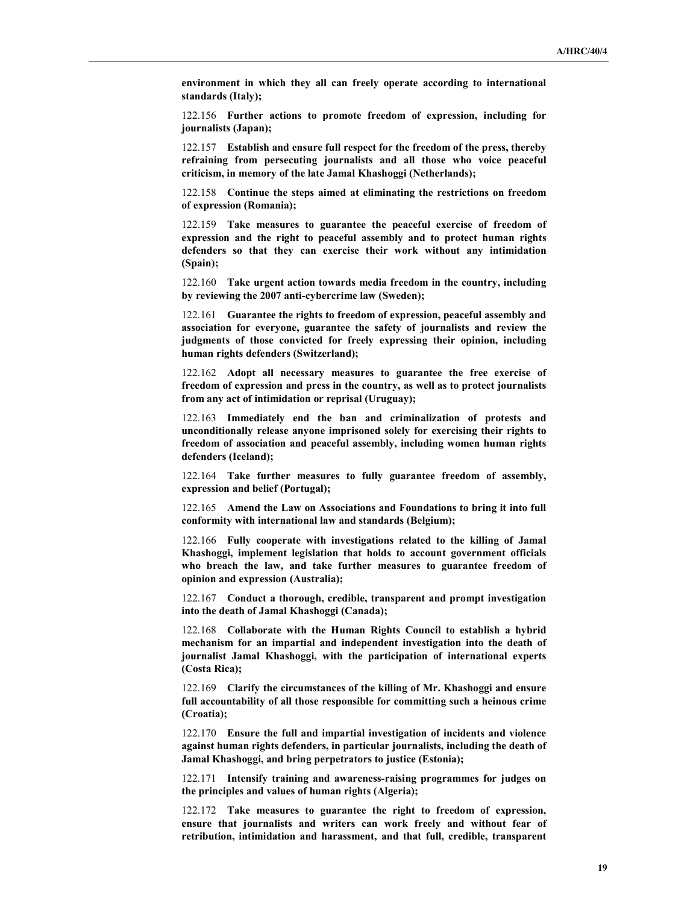environment in which they all can freely operate according to international standards (Italy);

122.156 Further actions to promote freedom of expression, including for journalists (Japan);

122.157 Establish and ensure full respect for the freedom of the press, thereby refraining from persecuting journalists and all those who voice peaceful criticism, in memory of the late Jamal Khashoggi (Netherlands);

122.158 Continue the steps aimed at eliminating the restrictions on freedom of expression (Romania);

122.159 Take measures to guarantee the peaceful exercise of freedom of expression and the right to peaceful assembly and to protect human rights defenders so that they can exercise their work without any intimidation (Spain);

122.160 Take urgent action towards media freedom in the country, including by reviewing the 2007 anti-cybercrime law (Sweden);

122.161 Guarantee the rights to freedom of expression, peaceful assembly and association for everyone, guarantee the safety of journalists and review the judgments of those convicted for freely expressing their opinion, including human rights defenders (Switzerland);

122.162 Adopt all necessary measures to guarantee the free exercise of freedom of expression and press in the country, as well as to protect journalists from any act of intimidation or reprisal (Uruguay);

122.163 Immediately end the ban and criminalization of protests and unconditionally release anyone imprisoned solely for exercising their rights to freedom of association and peaceful assembly, including women human rights defenders (Iceland);

122.164 Take further measures to fully guarantee freedom of assembly, expression and belief (Portugal);

122.165 Amend the Law on Associations and Foundations to bring it into full conformity with international law and standards (Belgium);

122.166 Fully cooperate with investigations related to the killing of Jamal Khashoggi, implement legislation that holds to account government officials who breach the law, and take further measures to guarantee freedom of opinion and expression (Australia);

122.167 Conduct a thorough, credible, transparent and prompt investigation into the death of Jamal Khashoggi (Canada);

122.168 Collaborate with the Human Rights Council to establish a hybrid mechanism for an impartial and independent investigation into the death of journalist Jamal Khashoggi, with the participation of international experts (Costa Rica);

122.169 Clarify the circumstances of the killing of Mr. Khashoggi and ensure full accountability of all those responsible for committing such a heinous crime (Croatia);

122.170 Ensure the full and impartial investigation of incidents and violence against human rights defenders, in particular journalists, including the death of Jamal Khashoggi, and bring perpetrators to justice (Estonia);

122.171 Intensify training and awareness-raising programmes for judges on the principles and values of human rights (Algeria);

122.172 Take measures to guarantee the right to freedom of expression, ensure that journalists and writers can work freely and without fear of retribution, intimidation and harassment, and that full, credible, transparent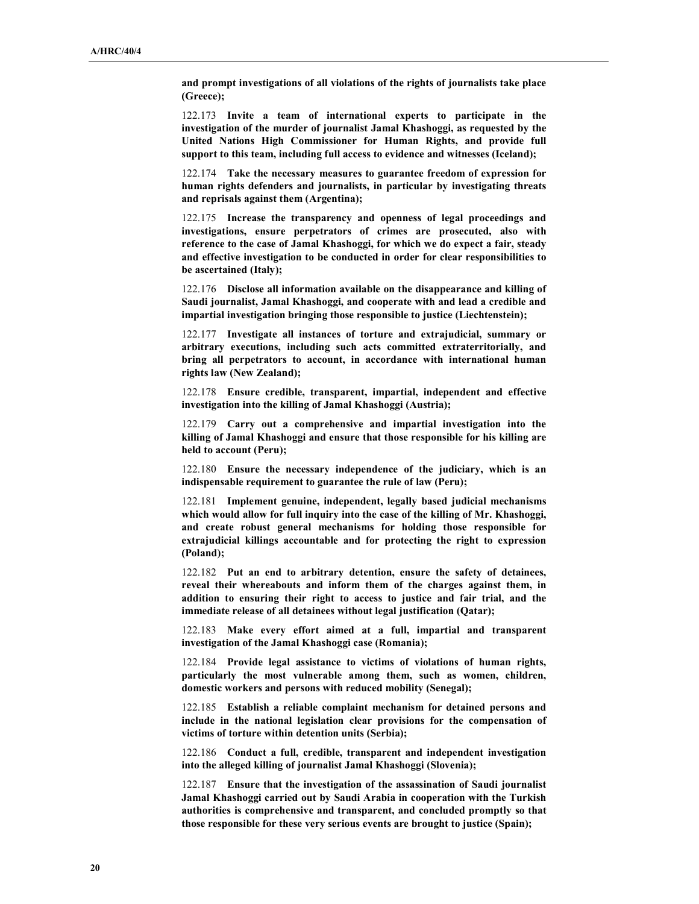and prompt investigations of all violations of the rights of journalists take place (Greece);

122.173 Invite a team of international experts to participate in the investigation of the murder of journalist Jamal Khashoggi, as requested by the United Nations High Commissioner for Human Rights, and provide full support to this team, including full access to evidence and witnesses (Iceland);

122.174 Take the necessary measures to guarantee freedom of expression for human rights defenders and journalists, in particular by investigating threats and reprisals against them (Argentina);

122.175 Increase the transparency and openness of legal proceedings and investigations, ensure perpetrators of crimes are prosecuted, also with reference to the case of Jamal Khashoggi, for which we do expect a fair, steady and effective investigation to be conducted in order for clear responsibilities to be ascertained (Italy);

122.176 Disclose all information available on the disappearance and killing of Saudi journalist, Jamal Khashoggi, and cooperate with and lead a credible and impartial investigation bringing those responsible to justice (Liechtenstein);

122.177 Investigate all instances of torture and extrajudicial, summary or arbitrary executions, including such acts committed extraterritorially, and bring all perpetrators to account, in accordance with international human rights law (New Zealand);

122.178 Ensure credible, transparent, impartial, independent and effective investigation into the killing of Jamal Khashoggi (Austria);

122.179 Carry out a comprehensive and impartial investigation into the killing of Jamal Khashoggi and ensure that those responsible for his killing are held to account (Peru);

122.180 Ensure the necessary independence of the judiciary, which is an indispensable requirement to guarantee the rule of law (Peru);

122.181 Implement genuine, independent, legally based judicial mechanisms which would allow for full inquiry into the case of the killing of Mr. Khashoggi, and create robust general mechanisms for holding those responsible for extrajudicial killings accountable and for protecting the right to expression (Poland);

122.182 Put an end to arbitrary detention, ensure the safety of detainees, reveal their whereabouts and inform them of the charges against them, in addition to ensuring their right to access to justice and fair trial, and the immediate release of all detainees without legal justification (Qatar);

122.183 Make every effort aimed at a full, impartial and transparent investigation of the Jamal Khashoggi case (Romania);

122.184 Provide legal assistance to victims of violations of human rights, particularly the most vulnerable among them, such as women, children, domestic workers and persons with reduced mobility (Senegal);

122.185 Establish a reliable complaint mechanism for detained persons and include in the national legislation clear provisions for the compensation of victims of torture within detention units (Serbia);

122.186 Conduct a full, credible, transparent and independent investigation into the alleged killing of journalist Jamal Khashoggi (Slovenia);

122.187 Ensure that the investigation of the assassination of Saudi journalist Jamal Khashoggi carried out by Saudi Arabia in cooperation with the Turkish authorities is comprehensive and transparent, and concluded promptly so that those responsible for these very serious events are brought to justice (Spain);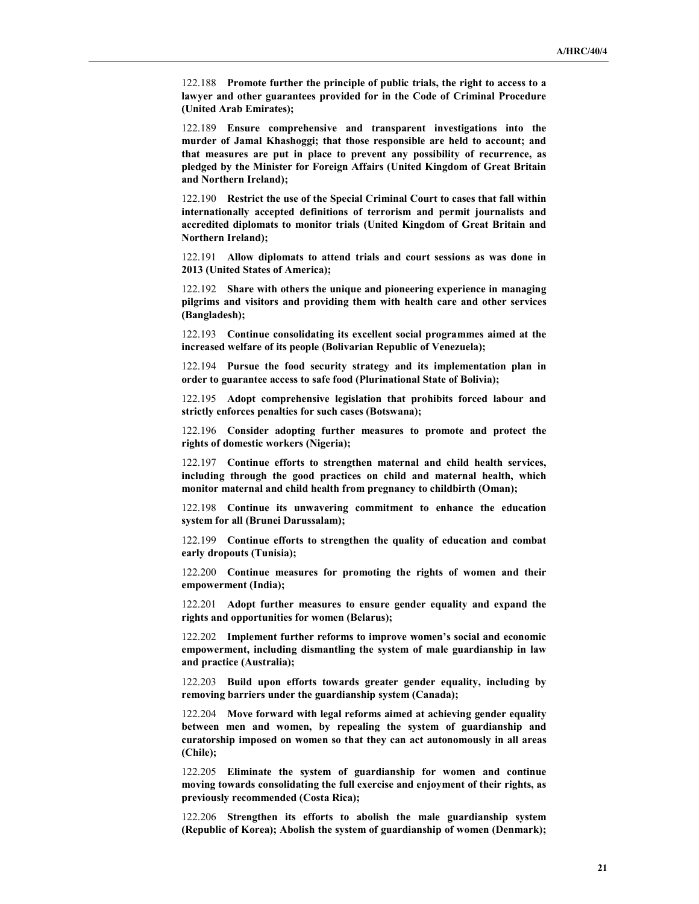122.188 Promote further the principle of public trials, the right to access to a lawyer and other guarantees provided for in the Code of Criminal Procedure (United Arab Emirates);

122.189 Ensure comprehensive and transparent investigations into the murder of Jamal Khashoggi; that those responsible are held to account; and that measures are put in place to prevent any possibility of recurrence, as pledged by the Minister for Foreign Affairs (United Kingdom of Great Britain and Northern Ireland);

122.190 Restrict the use of the Special Criminal Court to cases that fall within internationally accepted definitions of terrorism and permit journalists and accredited diplomats to monitor trials (United Kingdom of Great Britain and Northern Ireland);

122.191 Allow diplomats to attend trials and court sessions as was done in 2013 (United States of America);

122.192 Share with others the unique and pioneering experience in managing pilgrims and visitors and providing them with health care and other services (Bangladesh);

122.193 Continue consolidating its excellent social programmes aimed at the increased welfare of its people (Bolivarian Republic of Venezuela);

122.194 Pursue the food security strategy and its implementation plan in order to guarantee access to safe food (Plurinational State of Bolivia);

122.195 Adopt comprehensive legislation that prohibits forced labour and strictly enforces penalties for such cases (Botswana);

122.196 Consider adopting further measures to promote and protect the rights of domestic workers (Nigeria);

122.197 Continue efforts to strengthen maternal and child health services, including through the good practices on child and maternal health, which monitor maternal and child health from pregnancy to childbirth (Oman);

122.198 Continue its unwavering commitment to enhance the education system for all (Brunei Darussalam);

122.199 Continue efforts to strengthen the quality of education and combat early dropouts (Tunisia);

122.200 Continue measures for promoting the rights of women and their empowerment (India);

122.201 Adopt further measures to ensure gender equality and expand the rights and opportunities for women (Belarus);

122.202 Implement further reforms to improve women's social and economic empowerment, including dismantling the system of male guardianship in law and practice (Australia);

122.203 Build upon efforts towards greater gender equality, including by removing barriers under the guardianship system (Canada);

122.204 Move forward with legal reforms aimed at achieving gender equality between men and women, by repealing the system of guardianship and curatorship imposed on women so that they can act autonomously in all areas (Chile);

122.205 Eliminate the system of guardianship for women and continue moving towards consolidating the full exercise and enjoyment of their rights, as previously recommended (Costa Rica);

122.206 Strengthen its efforts to abolish the male guardianship system (Republic of Korea); Abolish the system of guardianship of women (Denmark);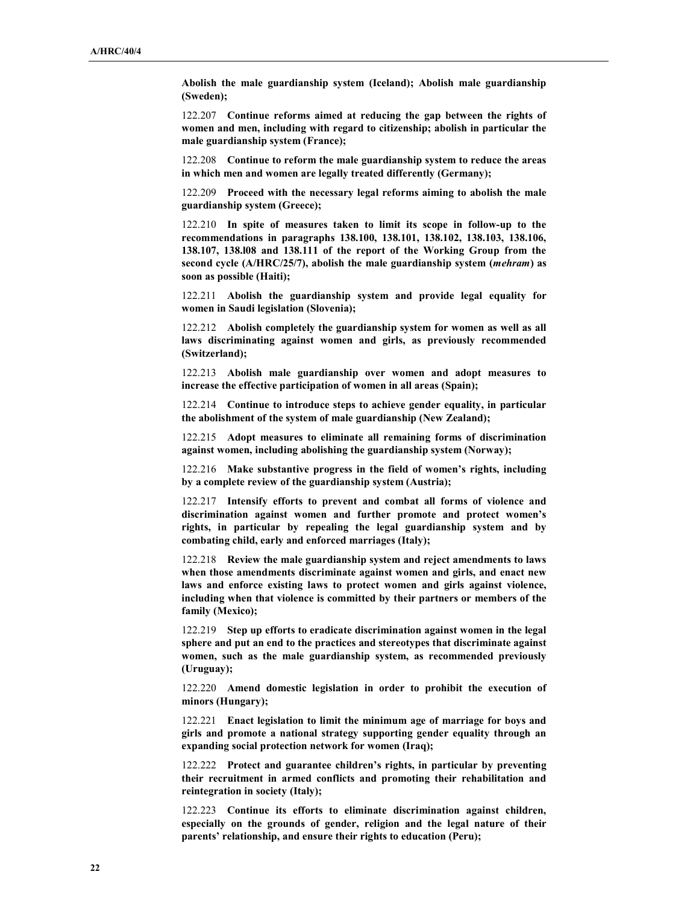Abolish the male guardianship system (Iceland); Abolish male guardianship (Sweden);

122.207 Continue reforms aimed at reducing the gap between the rights of women and men, including with regard to citizenship; abolish in particular the male guardianship system (France);

122.208 Continue to reform the male guardianship system to reduce the areas in which men and women are legally treated differently (Germany);

122.209 Proceed with the necessary legal reforms aiming to abolish the male guardianship system (Greece);

122.210 In spite of measures taken to limit its scope in follow-up to the recommendations in paragraphs 138.100, 138.101, 138.102, 138.103, 138.106, 138.107, 138.l08 and 138.111 of the report of the Working Group from the second cycle (A/HRC/25/7), abolish the male guardianship system (mehram) as soon as possible (Haiti);

122.211 Abolish the guardianship system and provide legal equality for women in Saudi legislation (Slovenia);

122.212 Abolish completely the guardianship system for women as well as all laws discriminating against women and girls, as previously recommended (Switzerland);

122.213 Abolish male guardianship over women and adopt measures to increase the effective participation of women in all areas (Spain);

122.214 Continue to introduce steps to achieve gender equality, in particular the abolishment of the system of male guardianship (New Zealand);

122.215 Adopt measures to eliminate all remaining forms of discrimination against women, including abolishing the guardianship system (Norway);

122.216 Make substantive progress in the field of women's rights, including by a complete review of the guardianship system (Austria);

122.217 Intensify efforts to prevent and combat all forms of violence and discrimination against women and further promote and protect women's rights, in particular by repealing the legal guardianship system and by combating child, early and enforced marriages (Italy);

122.218 Review the male guardianship system and reject amendments to laws when those amendments discriminate against women and girls, and enact new laws and enforce existing laws to protect women and girls against violence, including when that violence is committed by their partners or members of the family (Mexico);

122.219 Step up efforts to eradicate discrimination against women in the legal sphere and put an end to the practices and stereotypes that discriminate against women, such as the male guardianship system, as recommended previously (Uruguay);

122.220 Amend domestic legislation in order to prohibit the execution of minors (Hungary);

122.221 Enact legislation to limit the minimum age of marriage for boys and girls and promote a national strategy supporting gender equality through an expanding social protection network for women (Iraq);

122.222 Protect and guarantee children's rights, in particular by preventing their recruitment in armed conflicts and promoting their rehabilitation and reintegration in society (Italy);

122.223 Continue its efforts to eliminate discrimination against children, especially on the grounds of gender, religion and the legal nature of their parents' relationship, and ensure their rights to education (Peru);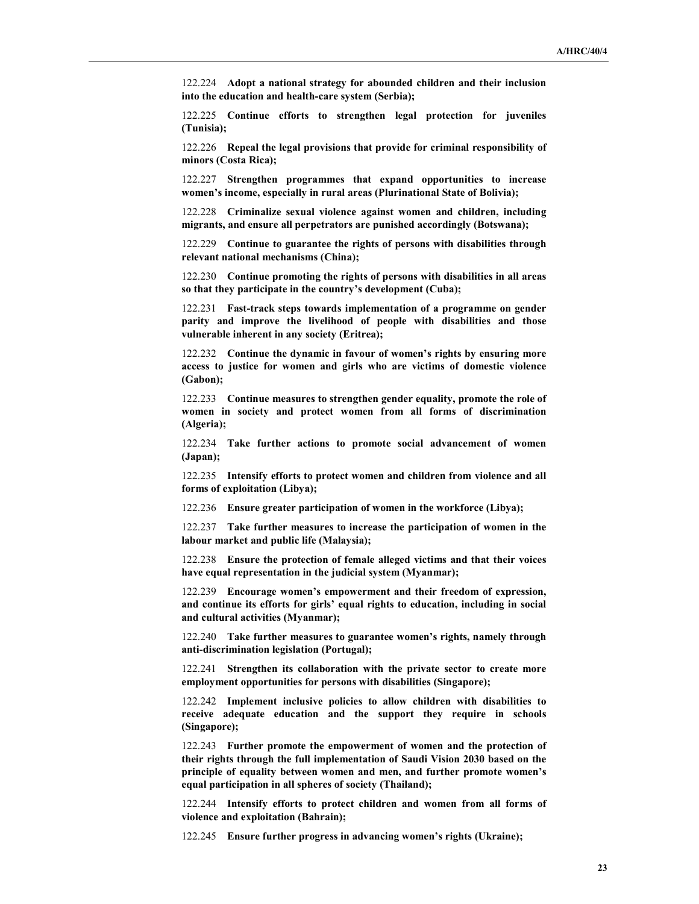122.224 Adopt a national strategy for abounded children and their inclusion into the education and health-care system (Serbia);

122.225 Continue efforts to strengthen legal protection for juveniles (Tunisia);

122.226 Repeal the legal provisions that provide for criminal responsibility of minors (Costa Rica);

122.227 Strengthen programmes that expand opportunities to increase women's income, especially in rural areas (Plurinational State of Bolivia);

122.228 Criminalize sexual violence against women and children, including migrants, and ensure all perpetrators are punished accordingly (Botswana);

122.229 Continue to guarantee the rights of persons with disabilities through relevant national mechanisms (China);

122.230 Continue promoting the rights of persons with disabilities in all areas so that they participate in the country's development (Cuba);

122.231 Fast-track steps towards implementation of a programme on gender parity and improve the livelihood of people with disabilities and those vulnerable inherent in any society (Eritrea);

122.232 Continue the dynamic in favour of women's rights by ensuring more access to justice for women and girls who are victims of domestic violence (Gabon);

122.233 Continue measures to strengthen gender equality, promote the role of women in society and protect women from all forms of discrimination (Algeria);

122.234 Take further actions to promote social advancement of women (Japan);

122.235 Intensify efforts to protect women and children from violence and all forms of exploitation (Libya);

122.236 Ensure greater participation of women in the workforce (Libya);

122.237 Take further measures to increase the participation of women in the labour market and public life (Malaysia);

122.238 Ensure the protection of female alleged victims and that their voices have equal representation in the judicial system (Myanmar);

122.239 Encourage women's empowerment and their freedom of expression, and continue its efforts for girls' equal rights to education, including in social and cultural activities (Myanmar);

122.240 Take further measures to guarantee women's rights, namely through anti-discrimination legislation (Portugal);

122.241 Strengthen its collaboration with the private sector to create more employment opportunities for persons with disabilities (Singapore);

122.242 Implement inclusive policies to allow children with disabilities to receive adequate education and the support they require in schools (Singapore);

122.243 Further promote the empowerment of women and the protection of their rights through the full implementation of Saudi Vision 2030 based on the principle of equality between women and men, and further promote women's equal participation in all spheres of society (Thailand);

122.244 Intensify efforts to protect children and women from all forms of violence and exploitation (Bahrain);

122.245 Ensure further progress in advancing women's rights (Ukraine);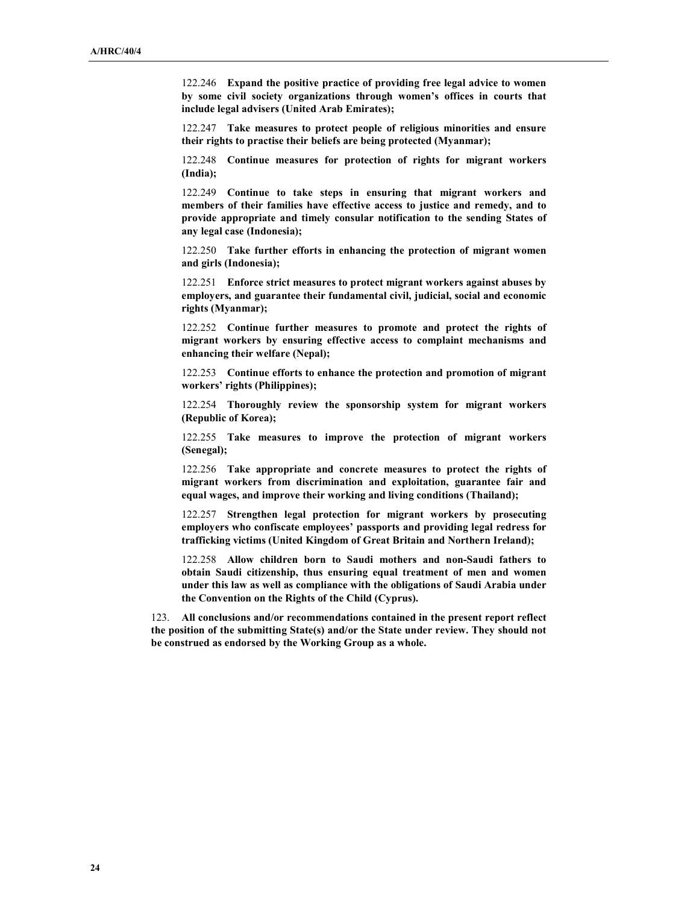122.246 Expand the positive practice of providing free legal advice to women by some civil society organizations through women's offices in courts that include legal advisers (United Arab Emirates);

122.247 Take measures to protect people of religious minorities and ensure their rights to practise their beliefs are being protected (Myanmar);

122.248 Continue measures for protection of rights for migrant workers (India);

122.249 Continue to take steps in ensuring that migrant workers and members of their families have effective access to justice and remedy, and to provide appropriate and timely consular notification to the sending States of any legal case (Indonesia);

122.250 Take further efforts in enhancing the protection of migrant women and girls (Indonesia);

122.251 Enforce strict measures to protect migrant workers against abuses by employers, and guarantee their fundamental civil, judicial, social and economic rights (Myanmar);

122.252 Continue further measures to promote and protect the rights of migrant workers by ensuring effective access to complaint mechanisms and enhancing their welfare (Nepal);

122.253 Continue efforts to enhance the protection and promotion of migrant workers' rights (Philippines);

122.254 Thoroughly review the sponsorship system for migrant workers (Republic of Korea);

122.255 Take measures to improve the protection of migrant workers (Senegal);

122.256 Take appropriate and concrete measures to protect the rights of migrant workers from discrimination and exploitation, guarantee fair and equal wages, and improve their working and living conditions (Thailand);

122.257 Strengthen legal protection for migrant workers by prosecuting employers who confiscate employees' passports and providing legal redress for trafficking victims (United Kingdom of Great Britain and Northern Ireland);

122.258 Allow children born to Saudi mothers and non-Saudi fathers to obtain Saudi citizenship, thus ensuring equal treatment of men and women under this law as well as compliance with the obligations of Saudi Arabia under the Convention on the Rights of the Child (Cyprus).

123. All conclusions and/or recommendations contained in the present report reflect the position of the submitting State(s) and/or the State under review. They should not be construed as endorsed by the Working Group as a whole.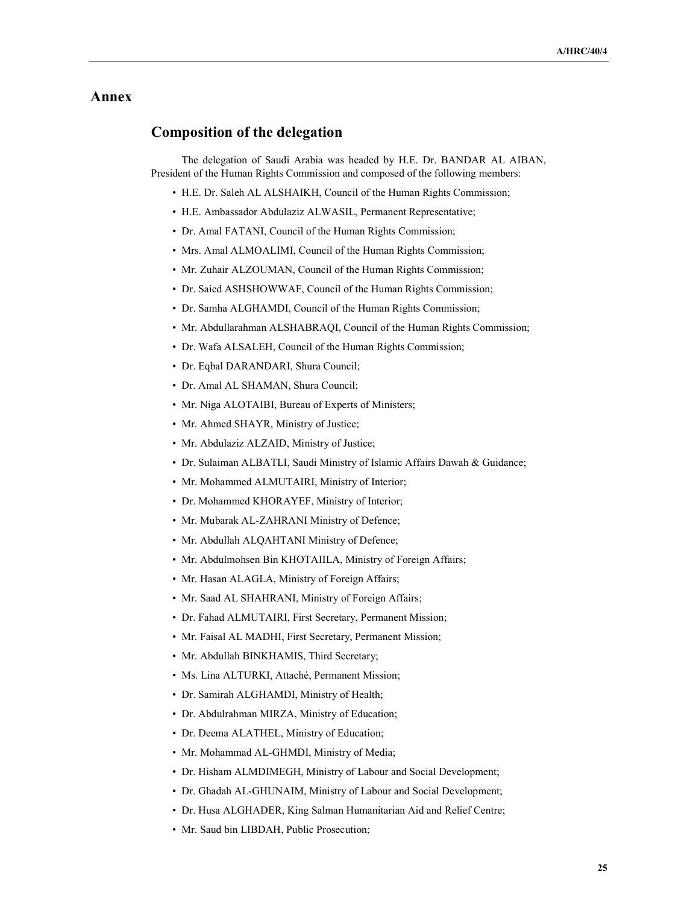### Annex

## Composition of the delegation

 The delegation of Saudi Arabia was headed by H.E. Dr. BANDAR AL AIBAN, President of the Human Rights Commission and composed of the following members:

- H.E. Dr. Saleh AL ALSHAIKH, Council of the Human Rights Commission;
- H.E. Ambassador Abdulaziz ALWASIL, Permanent Representative;
- Dr. Amal FATANI, Council of the Human Rights Commission;
- Mrs. Amal ALMOALIMI, Council of the Human Rights Commission;
- Mr. Zuhair ALZOUMAN, Council of the Human Rights Commission;
- Dr. Saied ASHSHOWWAF, Council of the Human Rights Commission;
- Dr. Samha ALGHAMDI, Council of the Human Rights Commission;
- Mr. Abdullarahman ALSHABRAQI, Council of the Human Rights Commission;
- Dr. Wafa ALSALEH, Council of the Human Rights Commission;
- Dr. Eqbal DARANDARI, Shura Council;
- Dr. Amal AL SHAMAN, Shura Council;
- Mr. Niga ALOTAIBI, Bureau of Experts of Ministers;
- Mr. Ahmed SHAYR, Ministry of Justice;
- Mr. Abdulaziz ALZAID, Ministry of Justice;
- Dr. Sulaiman ALBATLI, Saudi Ministry of Islamic Affairs Dawah & Guidance;
- Mr. Mohammed ALMUTAIRI, Ministry of Interior;
- Dr. Mohammed KHORAYEF, Ministry of Interior;
- Mr. Mubarak AL-ZAHRANI Ministry of Defence;
- Mr. Abdullah ALQAHTANI Ministry of Defence;
- Mr. Abdulmohsen Bin KHOTAIILA, Ministry of Foreign Affairs;
- Mr. Hasan ALAGLA, Ministry of Foreign Affairs;
- Mr. Saad AL SHAHRANI, Ministry of Foreign Affairs;
- Dr. Fahad ALMUTAIRI, First Secretary, Permanent Mission;
- Mr. Faisal AL MADHI, First Secretary, Permanent Mission;
- Mr. Abdullah BINKHAMIS, Third Secretary;
- Ms. Lina ALTURKI, Attaché, Permanent Mission;
- Dr. Samirah ALGHAMDI, Ministry of Health;
- Dr. Abdulrahman MIRZA, Ministry of Education;
- Dr. Deema ALATHEL, Ministry of Education;
- Mr. Mohammad AL-GHMDI, Ministry of Media;
- Dr. Hisham ALMDIMEGH, Ministry of Labour and Social Development;
- Dr. Ghadah AL-GHUNAIM, Ministry of Labour and Social Development;
- Dr. Husa ALGHADER, King Salman Humanitarian Aid and Relief Centre;
- Mr. Saud bin LIBDAH, Public Prosecution;